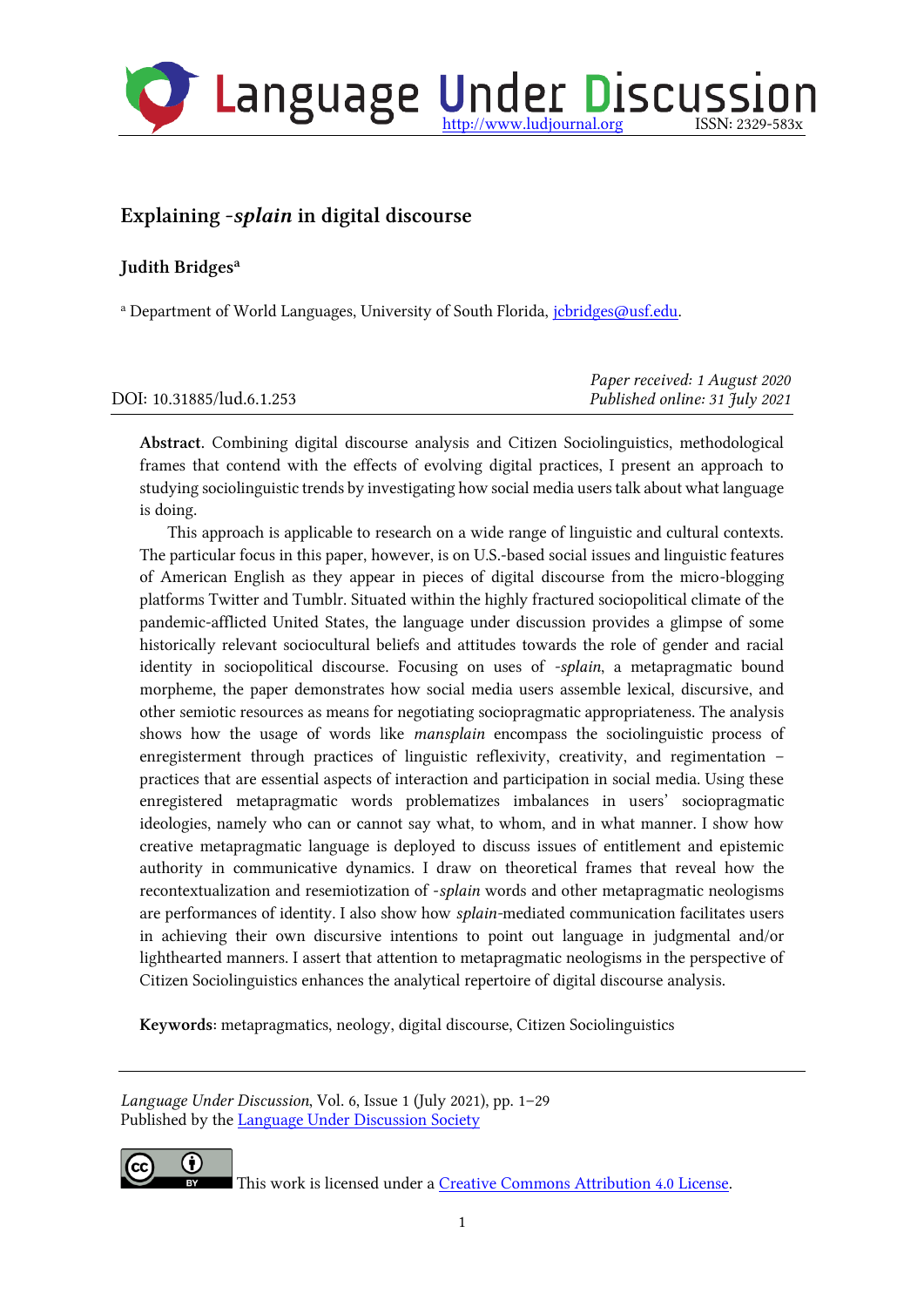

# Explaining -*splain* in digital discourse

### **Judith Bridges<sup>a</sup>**

<sup>a</sup> Department of World Languages, University of South Florida, [jcbridges@usf.edu.](mailto:jcbridges@usf.edu)

DOI: 10.31885/lud.6.1.253

*Paper received: 1 August 2020 Published online: 31 July 2021*

Abstract. Combining digital discourse analysis and Citizen Sociolinguistics, methodological frames that contend with the effects of evolving digital practices, I present an approach to studying sociolinguistic trends by investigating how social media users talk about what language is doing.

This approach is applicable to research on a wide range of linguistic and cultural contexts. The particular focus in this paper, however, is on U.S.-based social issues and linguistic features of American English as they appear in pieces of digital discourse from the micro-blogging platforms Twitter and Tumblr. Situated within the highly fractured sociopolitical climate of the pandemic-afflicted United States, the language under discussion provides a glimpse of some historically relevant sociocultural beliefs and attitudes towards the role of gender and racial identity in sociopolitical discourse. Focusing on uses of *-splain*, a metapragmatic bound morpheme, the paper demonstrates how social media users assemble lexical, discursive, and other semiotic resources as means for negotiating sociopragmatic appropriateness. The analysis shows how the usage of words like *mansplain* encompass the sociolinguistic process of enregisterment through practices of linguistic reflexivity, creativity, and regimentation – practices that are essential aspects of interaction and participation in social media. Using these enregistered metapragmatic words problematizes imbalances in users' sociopragmatic ideologies, namely who can or cannot say what, to whom, and in what manner. I show how creative metapragmatic language is deployed to discuss issues of entitlement and epistemic authority in communicative dynamics. I draw on theoretical frames that reveal how the recontextualization and resemiotization of -*splain* words and other metapragmatic neologisms are performances of identity. I also show how *splain-*mediated communication facilitates users in achieving their own discursive intentions to point out language in judgmental and/or lighthearted manners. I assert that attention to metapragmatic neologisms in the perspective of Citizen Sociolinguistics enhances the analytical repertoire of digital discourse analysis.

Keywords: metapragmatics, neology, digital discourse, Citizen Sociolinguistics

*Language Under Discussion*, Vol. 6, Issue 1 (July 2021), pp. 1–29 Published by the [Language Under Discussion Society](http://ludsociety.org/)



This work is licensed under a [Creative Commons Attribution 4.0 License.](http://creativecommons.org/licenses/by/4.0/)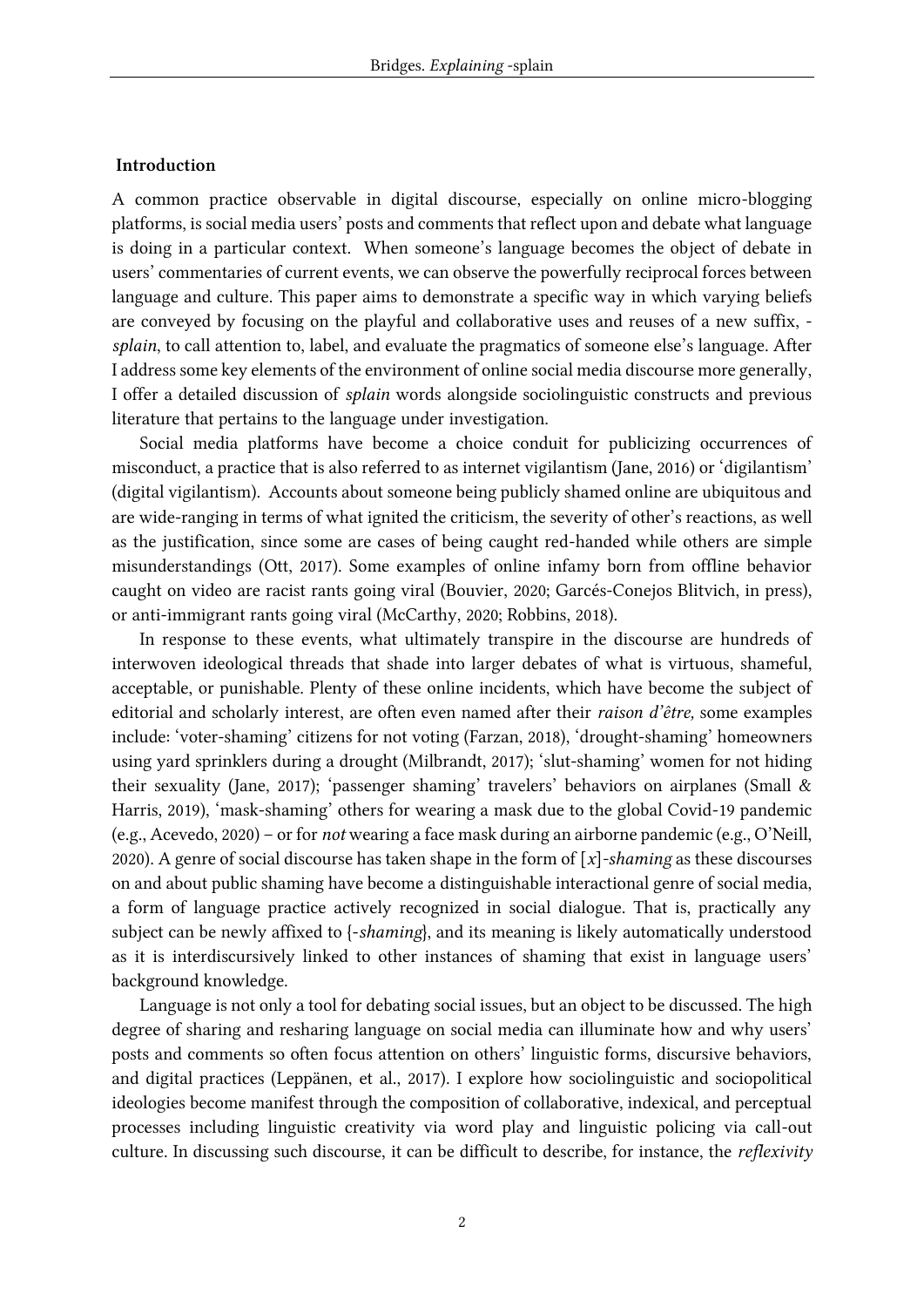#### Introduction

A common practice observable in digital discourse, especially on online micro-blogging platforms, is social media users' posts and comments that reflect upon and debate what language is doing in a particular context. When someone's language becomes the object of debate in users' commentaries of current events, we can observe the powerfully reciprocal forces between language and culture. This paper aims to demonstrate a specific way in which varying beliefs are conveyed by focusing on the playful and collaborative uses and reuses of a new suffix, *splain*, to call attention to, label, and evaluate the pragmatics of someone else's language. After I address some key elements of the environment of online social media discourse more generally, I offer a detailed discussion of *splain* words alongside sociolinguistic constructs and previous literature that pertains to the language under investigation.

Social media platforms have become a choice conduit for publicizing occurrences of misconduct, a practice that is also referred to as internet vigilantism (Jane, 2016) or 'digilantism' (digital vigilantism). Accounts about someone being publicly shamed online are ubiquitous and are wide-ranging in terms of what ignited the criticism, the severity of other's reactions, as well as the justification, since some are cases of being caught red-handed while others are simple misunderstandings (Ott, 2017). Some examples of online infamy born from offline behavior caught on video are racist rants going viral (Bouvier, 2020; Garcés-Conejos Blitvich, in press), or anti-immigrant rants going viral (McCarthy, 2020; Robbins, 2018).

In response to these events, what ultimately transpire in the discourse are hundreds of interwoven ideological threads that shade into larger debates of what is virtuous, shameful, acceptable, or punishable. Plenty of these online incidents, which have become the subject of editorial and scholarly interest, are often even named after their *raison d'être,* some examples include: 'voter-shaming' citizens for not voting (Farzan, 2018), 'drought-shaming' homeowners using yard sprinklers during a drought (Milbrandt, 2017); 'slut-shaming' women for not hiding their sexuality (Jane, 2017); 'passenger shaming' travelers' behaviors on airplanes (Small & Harris, 2019), 'mask-shaming' others for wearing a mask due to the global Covid-19 pandemic (e.g., Acevedo, 2020) – or for *not* wearing a face mask during an airborne pandemic (e.g., O'Neill, 2020). A genre of social discourse has taken shape in the form of [*x*]*-shaming* as these discourses on and about public shaming have become a distinguishable interactional genre of social media, a form of language practice actively recognized in social dialogue. That is, practically any subject can be newly affixed to {-*shaming*}, and its meaning is likely automatically understood as it is interdiscursively linked to other instances of shaming that exist in language users' background knowledge.

Language is not only a tool for debating social issues, but an object to be discussed. The high degree of sharing and resharing language on social media can illuminate how and why users' posts and comments so often focus attention on others' linguistic forms, discursive behaviors, and digital practices (Leppänen, et al., 2017). I explore how sociolinguistic and sociopolitical ideologies become manifest through the composition of collaborative, indexical, and perceptual processes including linguistic creativity via word play and linguistic policing via call-out culture. In discussing such discourse, it can be difficult to describe, for instance, the *reflexivity*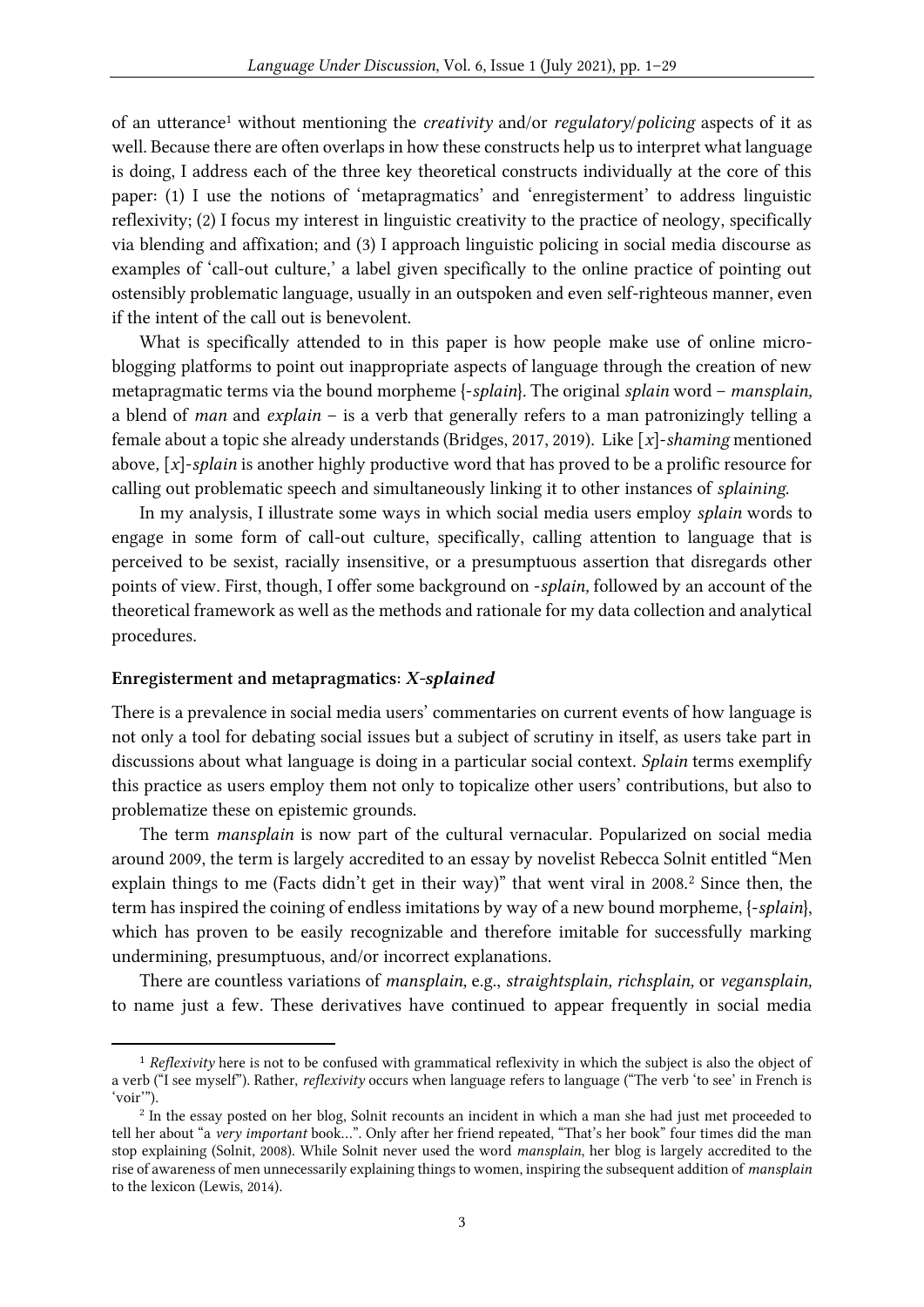of an utterance<sup>1</sup> without mentioning the *creativity* and/or *regulatory*/*policing* aspects of it as well. Because there are often overlaps in how these constructs help us to interpret what language is doing, I address each of the three key theoretical constructs individually at the core of this paper: (1) I use the notions of 'metapragmatics' and 'enregisterment' to address linguistic reflexivity; (2) I focus my interest in linguistic creativity to the practice of neology, specifically via blending and affixation; and (3) I approach linguistic policing in social media discourse as examples of 'call-out culture,' a label given specifically to the online practice of pointing out ostensibly problematic language, usually in an outspoken and even self-righteous manner, even if the intent of the call out is benevolent.

What is specifically attended to in this paper is how people make use of online microblogging platforms to point out inappropriate aspects of language through the creation of new metapragmatic terms via the bound morpheme {-*splain*}*.* The original *splain* word – *mansplain,* a blend of *man* and *explain* – is a verb that generally refers to a man patronizingly telling a female about a topic she already understands (Bridges, 2017, 2019). Like [*x*]-*shaming* mentioned above*,* [*x*]-*splain* is another highly productive word that has proved to be a prolific resource for calling out problematic speech and simultaneously linking it to other instances of *splaining*.

In my analysis, I illustrate some ways in which social media users employ *splain* words to engage in some form of call-out culture, specifically, calling attention to language that is perceived to be sexist, racially insensitive, or a presumptuous assertion that disregards other points of view. First, though, I offer some background on -*splain,* followed by an account of the theoretical framework as well as the methods and rationale for my data collection and analytical procedures.

#### Enregisterment and metapragmatics: *X-splained*

There is a prevalence in social media users' commentaries on current events of how language is not only a tool for debating social issues but a subject of scrutiny in itself, as users take part in discussions about what language is doing in a particular social context. *Splain* terms exemplify this practice as users employ them not only to topicalize other users' contributions, but also to problematize these on epistemic grounds.

The term *mansplain* is now part of the cultural vernacular. Popularized on social media around 2009, the term is largely accredited to an essay by novelist Rebecca Solnit entitled "Men explain things to me (Facts didn't get in their way)" that went viral in 2008.<sup>2</sup> Since then, the term has inspired the coining of endless imitations by way of a new bound morpheme, {-*splain*}, which has proven to be easily recognizable and therefore imitable for successfully marking undermining, presumptuous, and/or incorrect explanations.

There are countless variations of *mansplain,* e.g., *straightsplain, richsplain,* or *vegansplain,*  to name just a few. These derivatives have continued to appear frequently in social media

<sup>1</sup> *Reflexivity* here is not to be confused with grammatical reflexivity in which the subject is also the object of a verb ("I see myself"). Rather, *reflexivity* occurs when language refers to language ("The verb 'to see' in French is 'voir'").

<sup>&</sup>lt;sup>2</sup> In the essay posted on her blog, Solnit recounts an incident in which a man she had just met proceeded to tell her about "a *very important* book…". Only after her friend repeated, "That's her book" four times did the man stop explaining (Solnit, 2008). While Solnit never used the word *mansplain*, her blog is largely accredited to the rise of awareness of men unnecessarily explaining things to women, inspiring the subsequent addition of *mansplain* to the lexicon (Lewis, 2014).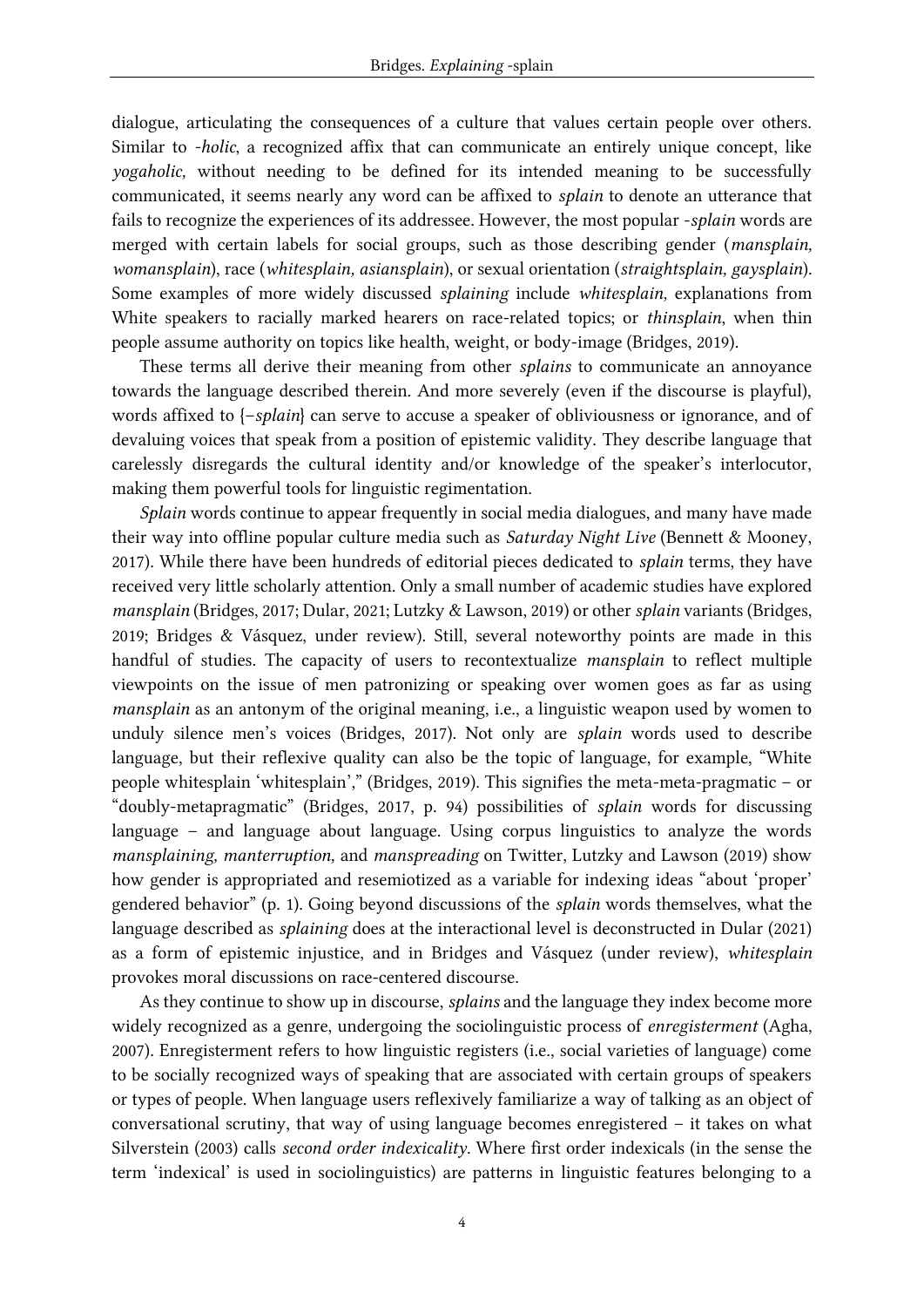dialogue, articulating the consequences of a culture that values certain people over others. Similar to *-holic*, a recognized affix that can communicate an entirely unique concept, like *yogaholic,* without needing to be defined for its intended meaning to be successfully communicated, it seems nearly any word can be affixed to *splain* to denote an utterance that fails to recognize the experiences of its addressee. However, the most popular -*splain* words are merged with certain labels for social groups, such as those describing gender (*mansplain, womansplain*), race (*whitesplain, asiansplain*), or sexual orientation (*straightsplain, gaysplain*). Some examples of more widely discussed *splaining* include *whitesplain,* explanations from White speakers to racially marked hearers on race-related topics; or *thinsplain*, when thin people assume authority on topics like health, weight, or body-image (Bridges, 2019).

These terms all derive their meaning from other *splains* to communicate an annoyance towards the language described therein. And more severely (even if the discourse is playful), words affixed to {–*splain*} can serve to accuse a speaker of obliviousness or ignorance, and of devaluing voices that speak from a position of epistemic validity. They describe language that carelessly disregards the cultural identity and/or knowledge of the speaker's interlocutor, making them powerful tools for linguistic regimentation.

*Splain* words continue to appear frequently in social media dialogues, and many have made their way into offline popular culture media such as *Saturday Night Live* (Bennett & Mooney, 2017). While there have been hundreds of editorial pieces dedicated to *splain* terms, they have received very little scholarly attention. Only a small number of academic studies have explored *mansplain* (Bridges, 2017; Dular, 2021; Lutzky & Lawson, 2019) or other *splain* variants (Bridges, 2019; Bridges & Vásquez, under review). Still, several noteworthy points are made in this handful of studies. The capacity of users to recontextualize *mansplain* to reflect multiple viewpoints on the issue of men patronizing or speaking over women goes as far as using *mansplain* as an antonym of the original meaning, i.e., a linguistic weapon used by women to unduly silence men's voices (Bridges, 2017). Not only are *splain* words used to describe language, but their reflexive quality can also be the topic of language, for example, "White people whitesplain 'whitesplain'," (Bridges, 2019). This signifies the meta-meta-pragmatic – or "doubly-metapragmatic" (Bridges, 2017, p. 94) possibilities of *splain* words for discussing language – and language about language. Using corpus linguistics to analyze the words *mansplaining, manterruption,* and *manspreading* on Twitter, Lutzky and Lawson (2019) show how gender is appropriated and resemiotized as a variable for indexing ideas "about 'proper' gendered behavior" (p. 1). Going beyond discussions of the *splain* words themselves, what the language described as *splaining* does at the interactional level is deconstructed in Dular (2021) as a form of epistemic injustice, and in Bridges and Vásquez (under review), *whitesplain*  provokes moral discussions on race-centered discourse.

As they continue to show up in discourse, *splains* and the language they index become more widely recognized as a genre, undergoing the sociolinguistic process of *enregisterment* (Agha, 2007). Enregisterment refers to how linguistic registers (i.e., social varieties of language) come to be socially recognized ways of speaking that are associated with certain groups of speakers or types of people. When language users reflexively familiarize a way of talking as an object of conversational scrutiny, that way of using language becomes enregistered – it takes on what Silverstein (2003) calls *second order indexicality*. Where first order indexicals (in the sense the term 'indexical' is used in sociolinguistics) are patterns in linguistic features belonging to a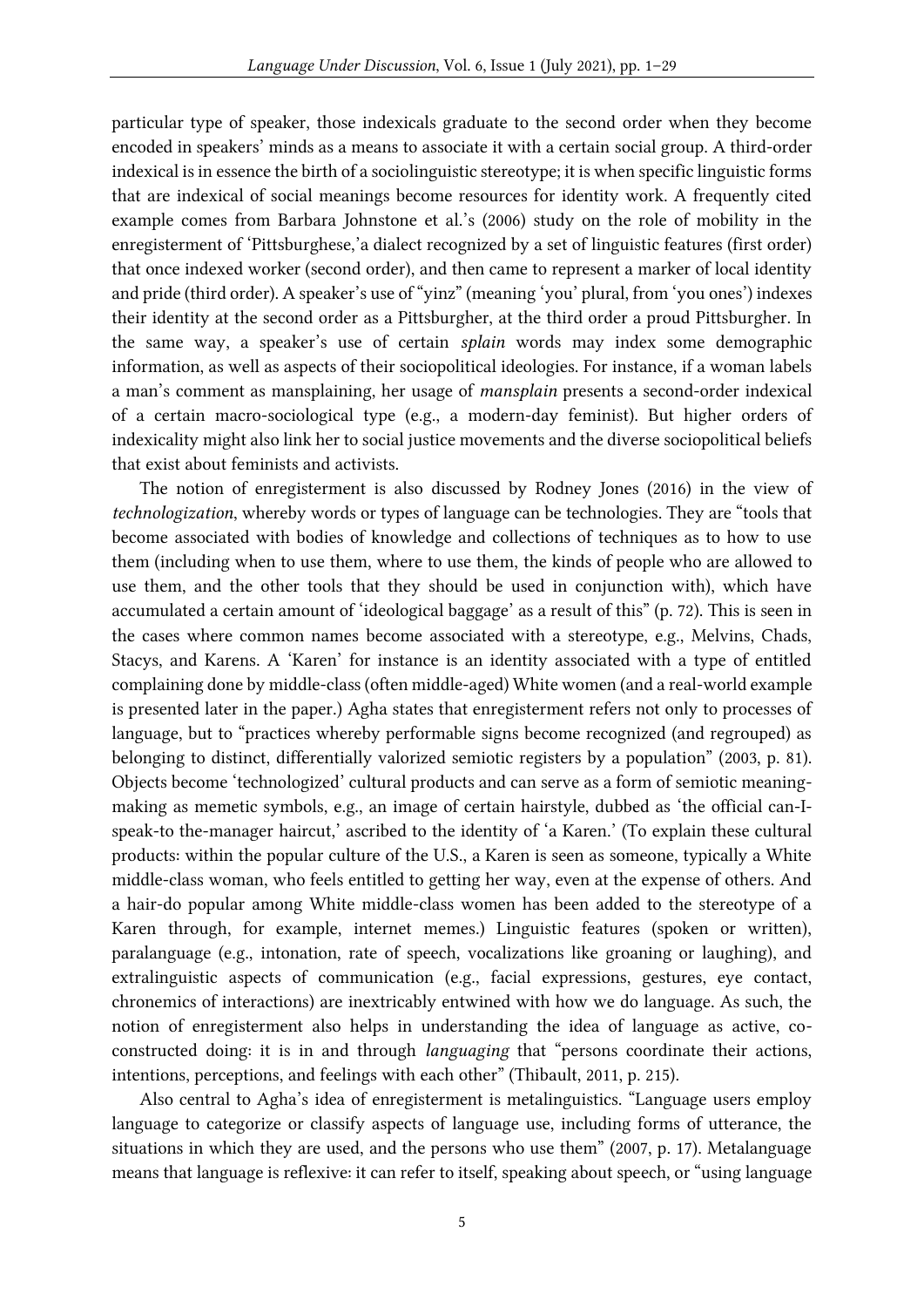particular type of speaker, those indexicals graduate to the second order when they become encoded in speakers' minds as a means to associate it with a certain social group. A third-order indexical is in essence the birth of a sociolinguistic stereotype; it is when specific linguistic forms that are indexical of social meanings become resources for identity work. A frequently cited example comes from Barbara Johnstone et al.'s (2006) study on the role of mobility in the enregisterment of 'Pittsburghese,'a dialect recognized by a set of linguistic features (first order) that once indexed worker (second order), and then came to represent a marker of local identity and pride (third order). A speaker's use of "yinz" (meaning 'you' plural, from 'you ones') indexes their identity at the second order as a Pittsburgher, at the third order a proud Pittsburgher. In the same way, a speaker's use of certain *splain* words may index some demographic information, as well as aspects of their sociopolitical ideologies. For instance, if a woman labels a man's comment as mansplaining, her usage of *mansplain* presents a second-order indexical of a certain macro-sociological type (e.g., a modern-day feminist). But higher orders of indexicality might also link her to social justice movements and the diverse sociopolitical beliefs that exist about feminists and activists.

The notion of enregisterment is also discussed by Rodney Jones (2016) in the view of *technologization*, whereby words or types of language can be technologies. They are "tools that become associated with bodies of knowledge and collections of techniques as to how to use them (including when to use them, where to use them, the kinds of people who are allowed to use them, and the other tools that they should be used in conjunction with), which have accumulated a certain amount of 'ideological baggage' as a result of this" (p. 72). This is seen in the cases where common names become associated with a stereotype, e.g., Melvins, Chads, Stacys, and Karens. A 'Karen' for instance is an identity associated with a type of entitled complaining done by middle-class (often middle-aged) White women (and a real-world example is presented later in the paper.) Agha states that enregisterment refers not only to processes of language, but to "practices whereby performable signs become recognized (and regrouped) as belonging to distinct, differentially valorized semiotic registers by a population" (2003, p. 81). Objects become 'technologized' cultural products and can serve as a form of semiotic meaningmaking as memetic symbols, e.g., an image of certain hairstyle, dubbed as 'the official can-Ispeak-to the-manager haircut,' ascribed to the identity of 'a Karen.' (To explain these cultural products: within the popular culture of the U.S., a Karen is seen as someone, typically a White middle-class woman, who feels entitled to getting her way, even at the expense of others. And a hair-do popular among White middle-class women has been added to the stereotype of a Karen through, for example, internet memes.) Linguistic features (spoken or written), paralanguage (e.g., intonation, rate of speech, vocalizations like groaning or laughing), and extralinguistic aspects of communication (e.g., facial expressions, gestures, eye contact, chronemics of interactions) are inextricably entwined with how we do language. As such, the notion of enregisterment also helps in understanding the idea of language as active, coconstructed doing: it is in and through *languaging* that "persons coordinate their actions, intentions, perceptions, and feelings with each other" (Thibault, 2011, p. 215).

Also central to Agha's idea of enregisterment is metalinguistics. "Language users employ language to categorize or classify aspects of language use, including forms of utterance, the situations in which they are used, and the persons who use them" (2007, p. 17). Metalanguage means that language is reflexive: it can refer to itself, speaking about speech, or "using language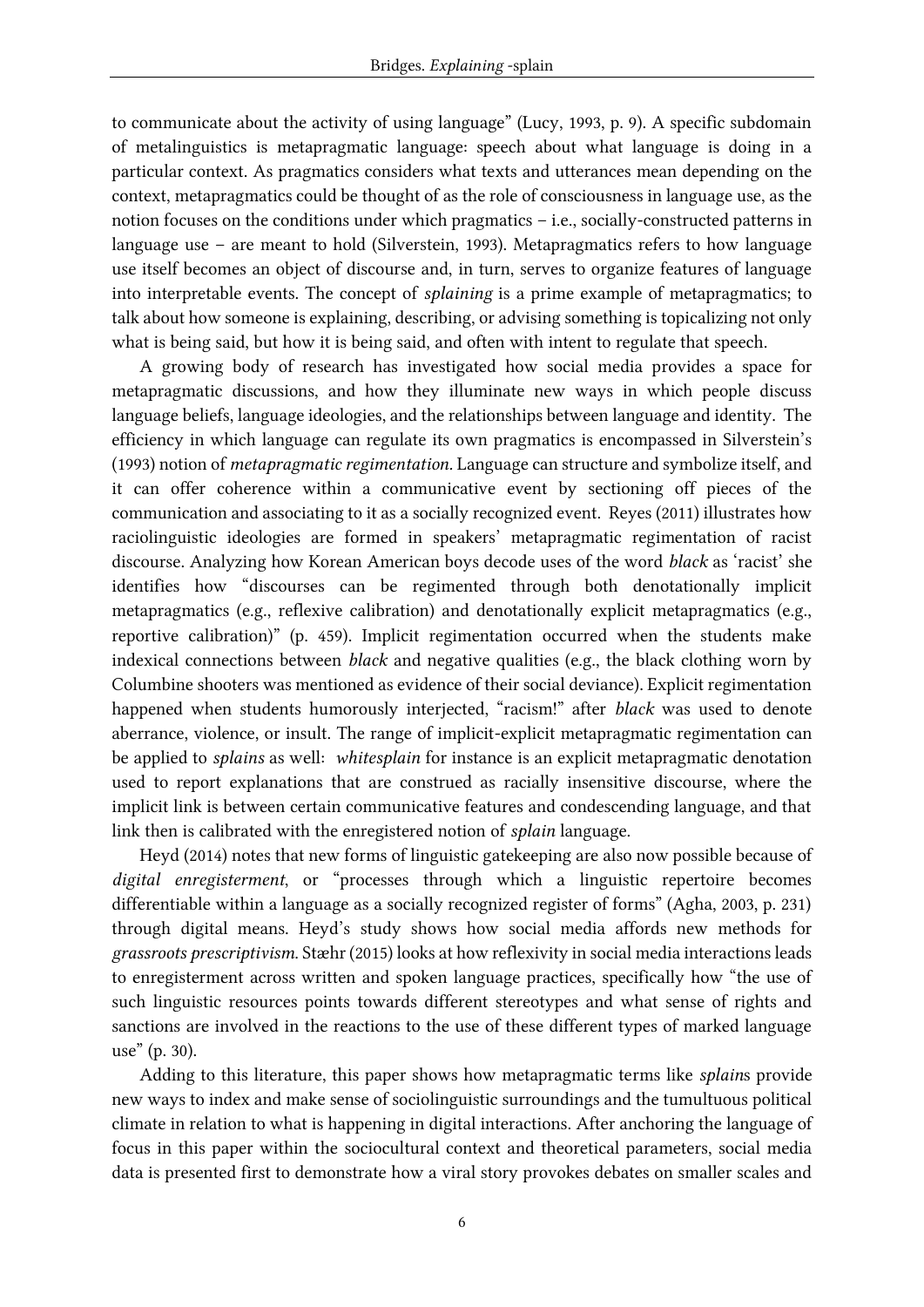to communicate about the activity of using language" (Lucy, 1993, p. 9). A specific subdomain of metalinguistics is metapragmatic language: speech about what language is doing in a particular context. As pragmatics considers what texts and utterances mean depending on the context, metapragmatics could be thought of as the role of consciousness in language use, as the notion focuses on the conditions under which pragmatics – i.e., socially-constructed patterns in language use – are meant to hold (Silverstein, 1993). Metapragmatics refers to how language use itself becomes an object of discourse and, in turn, serves to organize features of language into interpretable events. The concept of *splaining* is a prime example of metapragmatics; to talk about how someone is explaining, describing, or advising something is topicalizing not only what is being said, but how it is being said, and often with intent to regulate that speech.

A growing body of research has investigated how social media provides a space for metapragmatic discussions, and how they illuminate new ways in which people discuss language beliefs, language ideologies, and the relationships between language and identity. The efficiency in which language can regulate its own pragmatics is encompassed in Silverstein's (1993) notion of *metapragmatic regimentation.* Language can structure and symbolize itself, and it can offer coherence within a communicative event by sectioning off pieces of the communication and associating to it as a socially recognized event. Reyes (2011) illustrates how raciolinguistic ideologies are formed in speakers' metapragmatic regimentation of racist discourse. Analyzing how Korean American boys decode uses of the word *black* as 'racist' she identifies how "discourses can be regimented through both denotationally implicit metapragmatics (e.g., reflexive calibration) and denotationally explicit metapragmatics (e.g., reportive calibration)" (p. 459). Implicit regimentation occurred when the students make indexical connections between *black* and negative qualities (e.g., the black clothing worn by Columbine shooters was mentioned as evidence of their social deviance). Explicit regimentation happened when students humorously interjected, "racism!" after *black* was used to denote aberrance, violence, or insult. The range of implicit-explicit metapragmatic regimentation can be applied to *splains* as well: *whitesplain* for instance is an explicit metapragmatic denotation used to report explanations that are construed as racially insensitive discourse, where the implicit link is between certain communicative features and condescending language, and that link then is calibrated with the enregistered notion of *splain* language.

Heyd (2014) notes that new forms of linguistic gatekeeping are also now possible because of *digital enregisterment*, or "processes through which a linguistic repertoire becomes differentiable within a language as a socially recognized register of forms" (Agha, 2003, p. 231) through digital means. Heyd's study shows how social media affords new methods for *grassroots prescriptivism*. Stæhr (2015) looks at how reflexivity in social media interactions leads to enregisterment across written and spoken language practices, specifically how "the use of such linguistic resources points towards different stereotypes and what sense of rights and sanctions are involved in the reactions to the use of these different types of marked language use" (p. 30).

Adding to this literature, this paper shows how metapragmatic terms like *splain*s provide new ways to index and make sense of sociolinguistic surroundings and the tumultuous political climate in relation to what is happening in digital interactions. After anchoring the language of focus in this paper within the sociocultural context and theoretical parameters, social media data is presented first to demonstrate how a viral story provokes debates on smaller scales and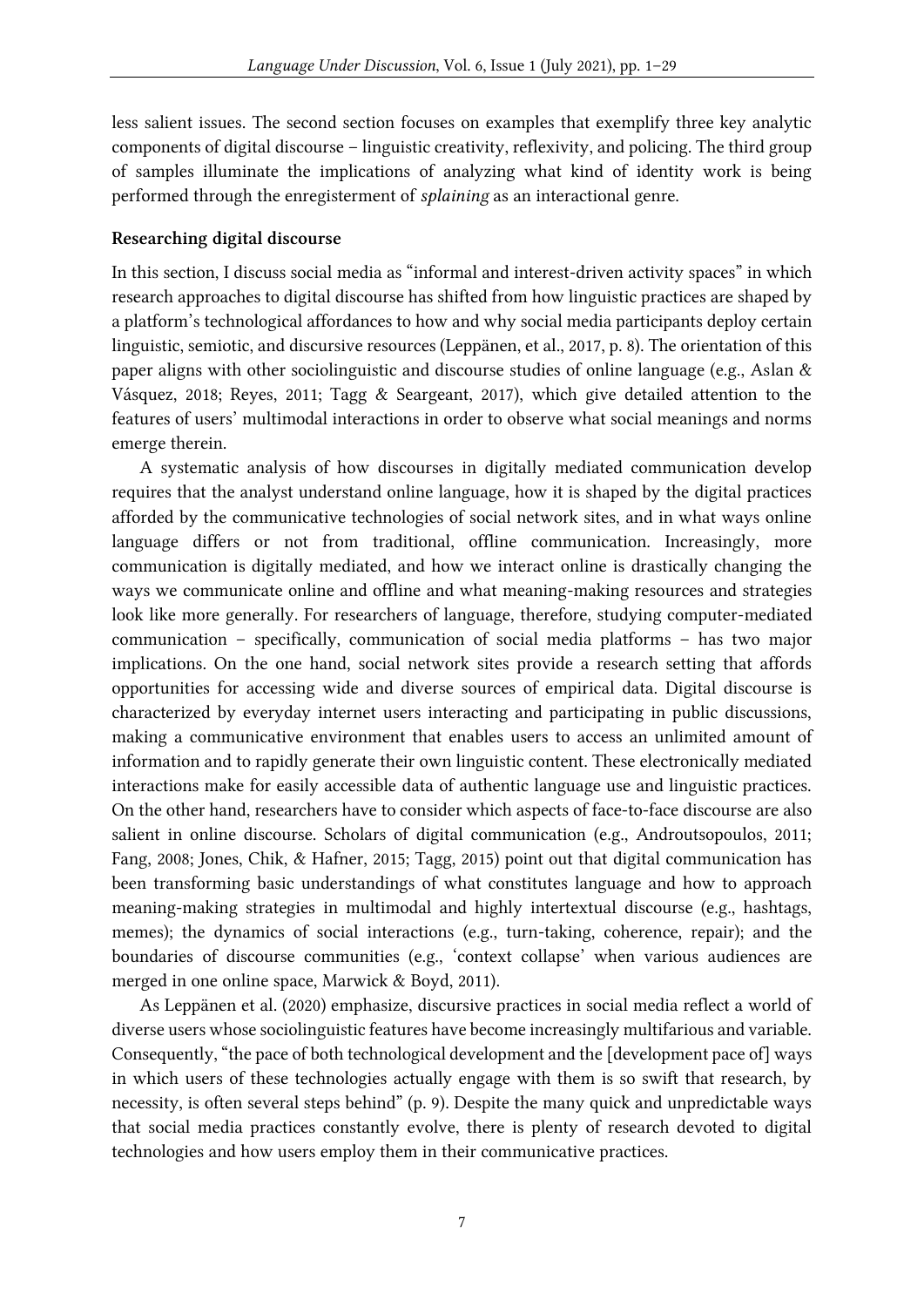less salient issues. The second section focuses on examples that exemplify three key analytic components of digital discourse – linguistic creativity, reflexivity, and policing. The third group of samples illuminate the implications of analyzing what kind of identity work is being performed through the enregisterment of *splaining* as an interactional genre.

### Researching digital discourse

In this section, I discuss social media as "informal and interest-driven activity spaces" in which research approaches to digital discourse has shifted from how linguistic practices are shaped by a platform's technological affordances to how and why social media participants deploy certain linguistic, semiotic, and discursive resources (Leppänen, et al., 2017, p. 8). The orientation of this paper aligns with other sociolinguistic and discourse studies of online language (e.g., Aslan & Vásquez, 2018; Reyes, 2011; Tagg & Seargeant, 2017), which give detailed attention to the features of users' multimodal interactions in order to observe what social meanings and norms emerge therein.

A systematic analysis of how discourses in digitally mediated communication develop requires that the analyst understand online language, how it is shaped by the digital practices afforded by the communicative technologies of social network sites, and in what ways online language differs or not from traditional, offline communication. Increasingly, more communication is digitally mediated, and how we interact online is drastically changing the ways we communicate online and offline and what meaning-making resources and strategies look like more generally. For researchers of language, therefore, studying computer-mediated communication – specifically, communication of social media platforms – has two major implications. On the one hand, social network sites provide a research setting that affords opportunities for accessing wide and diverse sources of empirical data. Digital discourse is characterized by everyday internet users interacting and participating in public discussions, making a communicative environment that enables users to access an unlimited amount of information and to rapidly generate their own linguistic content. These electronically mediated interactions make for easily accessible data of authentic language use and linguistic practices. On the other hand, researchers have to consider which aspects of face-to-face discourse are also salient in online discourse. Scholars of digital communication (e.g., Androutsopoulos, 2011; Fang, 2008; Jones, Chik, & Hafner, 2015; Tagg, 2015) point out that digital communication has been transforming basic understandings of what constitutes language and how to approach meaning-making strategies in multimodal and highly intertextual discourse (e.g., hashtags, memes); the dynamics of social interactions (e.g., turn-taking, coherence, repair); and the boundaries of discourse communities (e.g., 'context collapse' when various audiences are merged in one online space, Marwick & Boyd, 2011).

As Leppänen et al. (2020) emphasize, discursive practices in social media reflect a world of diverse users whose sociolinguistic features have become increasingly multifarious and variable. Consequently, "the pace of both technological development and the [development pace of] ways in which users of these technologies actually engage with them is so swift that research, by necessity, is often several steps behind" (p. 9). Despite the many quick and unpredictable ways that social media practices constantly evolve, there is plenty of research devoted to digital technologies and how users employ them in their communicative practices.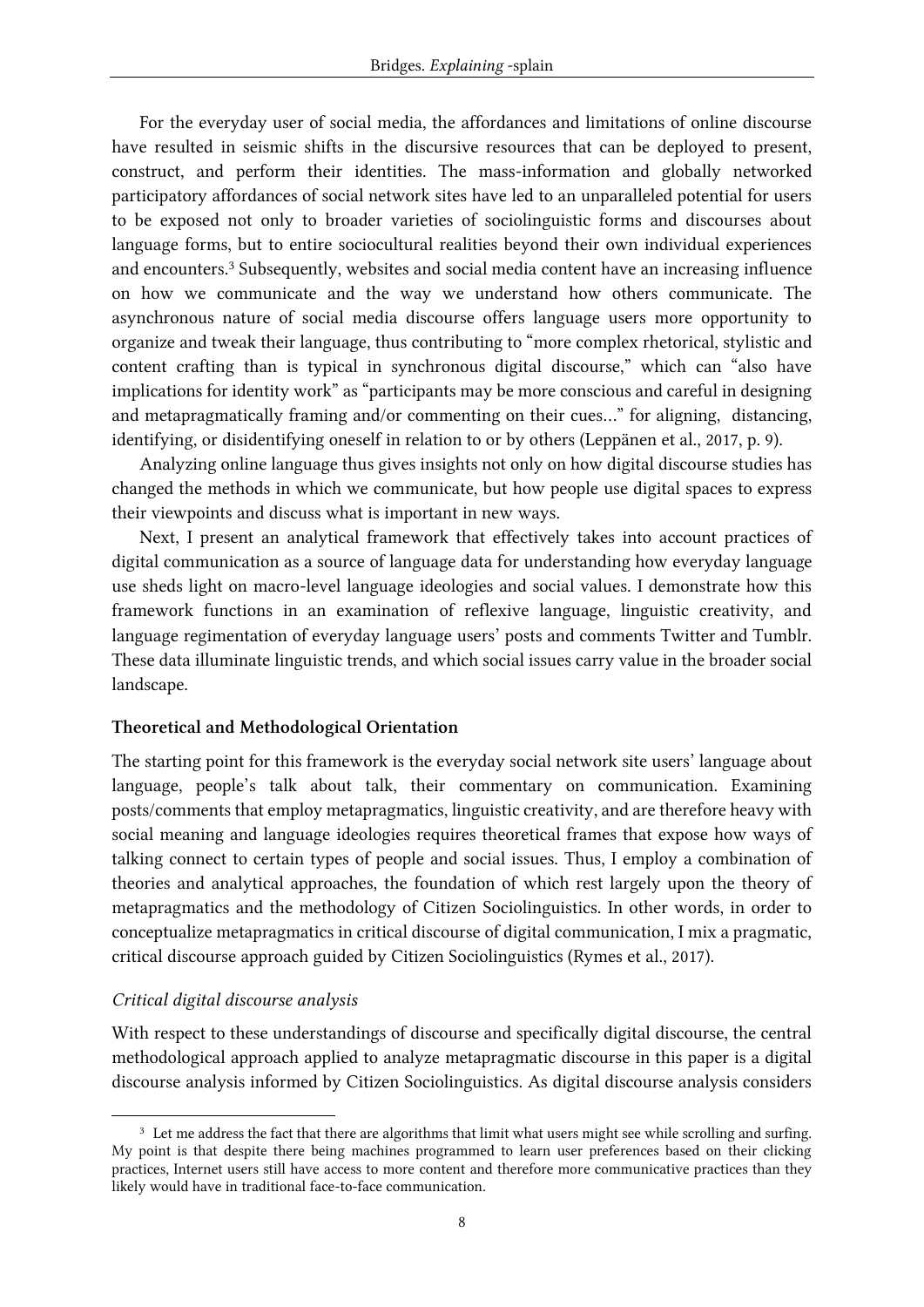For the everyday user of social media, the affordances and limitations of online discourse have resulted in seismic shifts in the discursive resources that can be deployed to present, construct, and perform their identities. The mass-information and globally networked participatory affordances of social network sites have led to an unparalleled potential for users to be exposed not only to broader varieties of sociolinguistic forms and discourses about language forms, but to entire sociocultural realities beyond their own individual experiences and encounters.<sup>3</sup> Subsequently, websites and social media content have an increasing influence on how we communicate and the way we understand how others communicate. The asynchronous nature of social media discourse offers language users more opportunity to organize and tweak their language, thus contributing to "more complex rhetorical, stylistic and content crafting than is typical in synchronous digital discourse," which can "also have implications for identity work" as "participants may be more conscious and careful in designing and metapragmatically framing and/or commenting on their cues…" for aligning, distancing, identifying, or disidentifying oneself in relation to or by others (Leppänen et al., 2017, p. 9).

Analyzing online language thus gives insights not only on how digital discourse studies has changed the methods in which we communicate, but how people use digital spaces to express their viewpoints and discuss what is important in new ways.

Next, I present an analytical framework that effectively takes into account practices of digital communication as a source of language data for understanding how everyday language use sheds light on macro-level language ideologies and social values. I demonstrate how this framework functions in an examination of reflexive language, linguistic creativity, and language regimentation of everyday language users' posts and comments Twitter and Tumblr. These data illuminate linguistic trends, and which social issues carry value in the broader social landscape.

# Theoretical and Methodological Orientation

The starting point for this framework is the everyday social network site users' language about language, people's talk about talk, their commentary on communication. Examining posts/comments that employ metapragmatics, linguistic creativity, and are therefore heavy with social meaning and language ideologies requires theoretical frames that expose how ways of talking connect to certain types of people and social issues. Thus, I employ a combination of theories and analytical approaches, the foundation of which rest largely upon the theory of metapragmatics and the methodology of Citizen Sociolinguistics. In other words, in order to conceptualize metapragmatics in critical discourse of digital communication, I mix a pragmatic, critical discourse approach guided by Citizen Sociolinguistics (Rymes et al., 2017).

# *Critical digital discourse analysis*

With respect to these understandings of discourse and specifically digital discourse, the central methodological approach applied to analyze metapragmatic discourse in this paper is a digital discourse analysis informed by Citizen Sociolinguistics. As digital discourse analysis considers

<sup>&</sup>lt;sup>3</sup> Let me address the fact that there are algorithms that limit what users might see while scrolling and surfing. My point is that despite there being machines programmed to learn user preferences based on their clicking practices, Internet users still have access to more content and therefore more communicative practices than they likely would have in traditional face-to-face communication.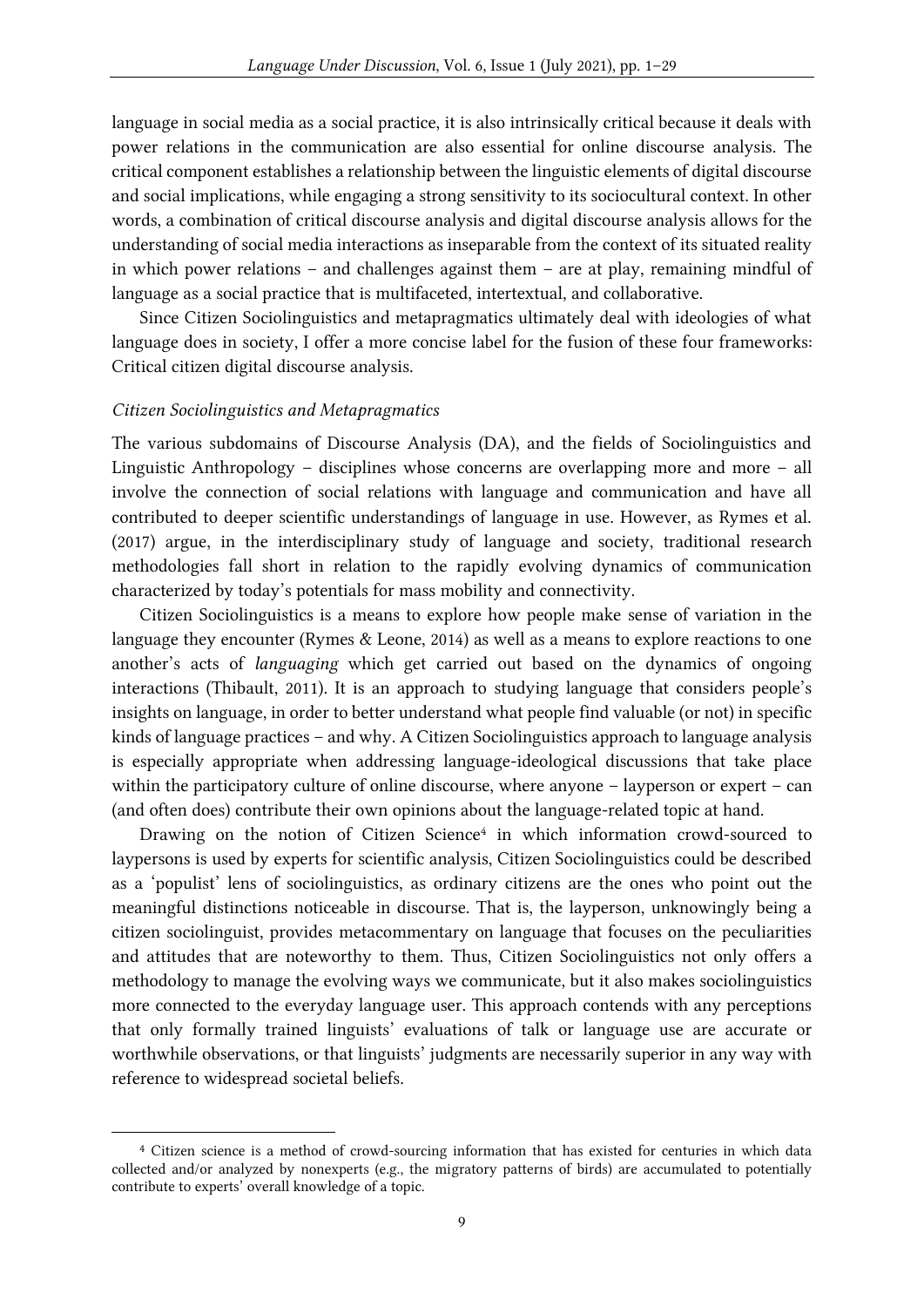language in social media as a social practice, it is also intrinsically critical because it deals with power relations in the communication are also essential for online discourse analysis. The critical component establishes a relationship between the linguistic elements of digital discourse and social implications, while engaging a strong sensitivity to its sociocultural context. In other words, a combination of critical discourse analysis and digital discourse analysis allows for the understanding of social media interactions as inseparable from the context of its situated reality in which power relations – and challenges against them – are at play, remaining mindful of language as a social practice that is multifaceted, intertextual, and collaborative.

Since Citizen Sociolinguistics and metapragmatics ultimately deal with ideologies of what language does in society, I offer a more concise label for the fusion of these four frameworks: Critical citizen digital discourse analysis.

#### *Citizen Sociolinguistics and Metapragmatics*

The various subdomains of Discourse Analysis (DA), and the fields of Sociolinguistics and Linguistic Anthropology – disciplines whose concerns are overlapping more and more – all involve the connection of social relations with language and communication and have all contributed to deeper scientific understandings of language in use. However, as Rymes et al. (2017) argue, in the interdisciplinary study of language and society, traditional research methodologies fall short in relation to the rapidly evolving dynamics of communication characterized by today's potentials for mass mobility and connectivity.

Citizen Sociolinguistics is a means to explore how people make sense of variation in the language they encounter (Rymes & Leone, 2014) as well as a means to explore reactions to one another's acts of *languaging* which get carried out based on the dynamics of ongoing interactions (Thibault, 2011). It is an approach to studying language that considers people's insights on language, in order to better understand what people find valuable (or not) in specific kinds of language practices – and why. A Citizen Sociolinguistics approach to language analysis is especially appropriate when addressing language-ideological discussions that take place within the participatory culture of online discourse, where anyone – layperson or expert – can (and often does) contribute their own opinions about the language-related topic at hand.

Drawing on the notion of Citizen Science<sup>4</sup> in which information crowd-sourced to laypersons is used by experts for scientific analysis, Citizen Sociolinguistics could be described as a 'populist' lens of sociolinguistics, as ordinary citizens are the ones who point out the meaningful distinctions noticeable in discourse. That is, the layperson, unknowingly being a citizen sociolinguist, provides metacommentary on language that focuses on the peculiarities and attitudes that are noteworthy to them. Thus, Citizen Sociolinguistics not only offers a methodology to manage the evolving ways we communicate, but it also makes sociolinguistics more connected to the everyday language user. This approach contends with any perceptions that only formally trained linguists' evaluations of talk or language use are accurate or worthwhile observations, or that linguists' judgments are necessarily superior in any way with reference to widespread societal beliefs.

<sup>4</sup> Citizen science is a method of crowd-sourcing information that has existed for centuries in which data collected and/or analyzed by nonexperts (e.g., the migratory patterns of birds) are accumulated to potentially contribute to experts' overall knowledge of a topic.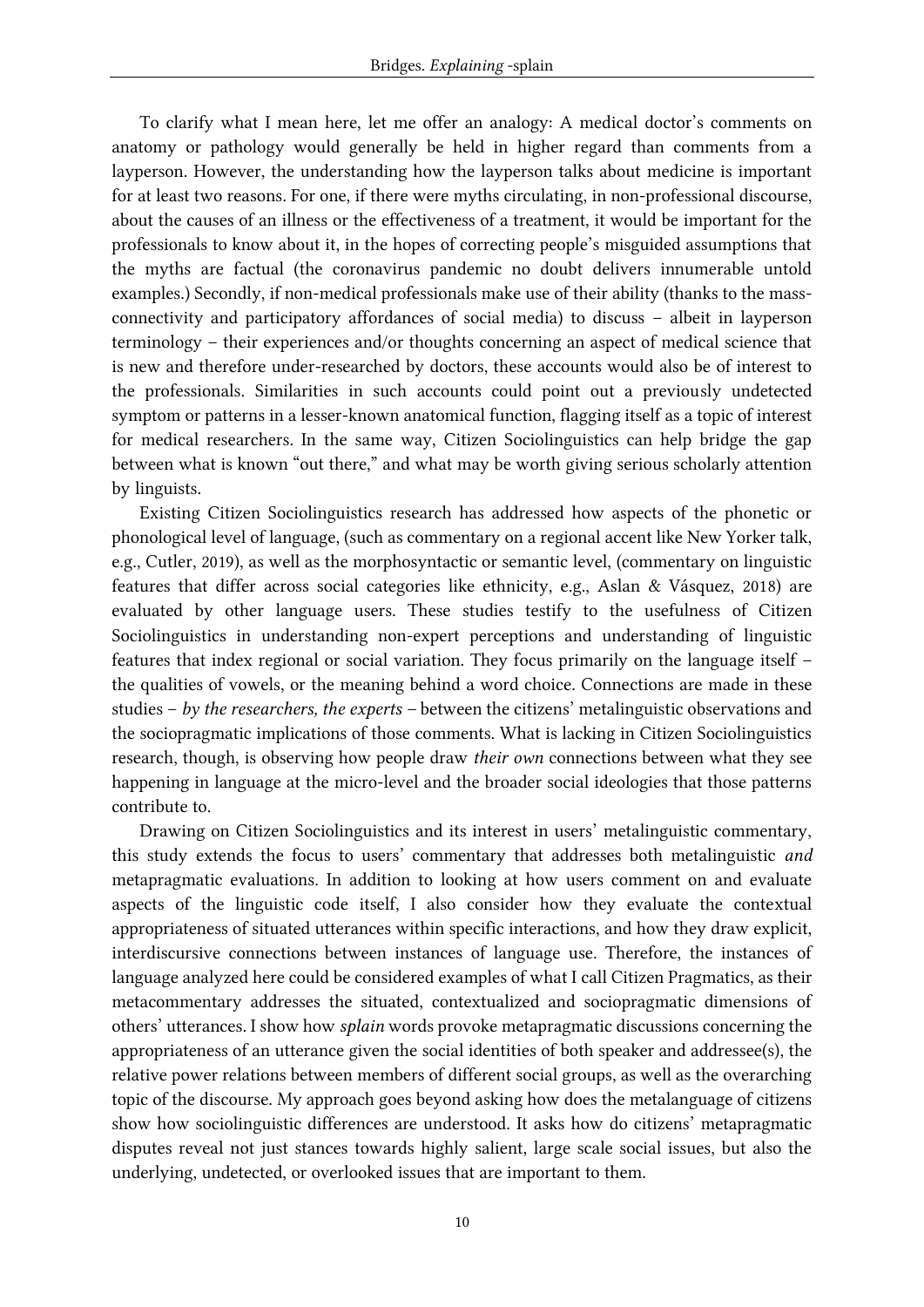To clarify what I mean here, let me offer an analogy: A medical doctor's comments on anatomy or pathology would generally be held in higher regard than comments from a layperson. However, the understanding how the layperson talks about medicine is important for at least two reasons. For one, if there were myths circulating, in non-professional discourse, about the causes of an illness or the effectiveness of a treatment, it would be important for the professionals to know about it, in the hopes of correcting people's misguided assumptions that the myths are factual (the coronavirus pandemic no doubt delivers innumerable untold examples.) Secondly, if non-medical professionals make use of their ability (thanks to the massconnectivity and participatory affordances of social media) to discuss – albeit in layperson terminology – their experiences and/or thoughts concerning an aspect of medical science that is new and therefore under-researched by doctors, these accounts would also be of interest to the professionals. Similarities in such accounts could point out a previously undetected symptom or patterns in a lesser-known anatomical function, flagging itself as a topic of interest for medical researchers. In the same way, Citizen Sociolinguistics can help bridge the gap between what is known "out there," and what may be worth giving serious scholarly attention by linguists.

Existing Citizen Sociolinguistics research has addressed how aspects of the phonetic or phonological level of language, (such as commentary on a regional accent like New Yorker talk, e.g., Cutler, 2019), as well as the morphosyntactic or semantic level, (commentary on linguistic features that differ across social categories like ethnicity, e.g., Aslan & Vásquez, 2018) are evaluated by other language users. These studies testify to the usefulness of Citizen Sociolinguistics in understanding non-expert perceptions and understanding of linguistic features that index regional or social variation. They focus primarily on the language itself – the qualities of vowels, or the meaning behind a word choice. Connections are made in these studies – *by the researchers, the experts –* between the citizens' metalinguistic observations and the sociopragmatic implications of those comments. What is lacking in Citizen Sociolinguistics research, though, is observing how people draw *their own* connections between what they see happening in language at the micro-level and the broader social ideologies that those patterns contribute to.

Drawing on Citizen Sociolinguistics and its interest in users' metalinguistic commentary, this study extends the focus to users' commentary that addresses both metalinguistic *and* metapragmatic evaluations. In addition to looking at how users comment on and evaluate aspects of the linguistic code itself, I also consider how they evaluate the contextual appropriateness of situated utterances within specific interactions, and how they draw explicit, interdiscursive connections between instances of language use. Therefore, the instances of language analyzed here could be considered examples of what I call Citizen Pragmatics, as their metacommentary addresses the situated, contextualized and sociopragmatic dimensions of others' utterances. I show how *splain* words provoke metapragmatic discussions concerning the appropriateness of an utterance given the social identities of both speaker and addressee(s), the relative power relations between members of different social groups, as well as the overarching topic of the discourse. My approach goes beyond asking how does the metalanguage of citizens show how sociolinguistic differences are understood. It asks how do citizens' metapragmatic disputes reveal not just stances towards highly salient, large scale social issues, but also the underlying, undetected, or overlooked issues that are important to them.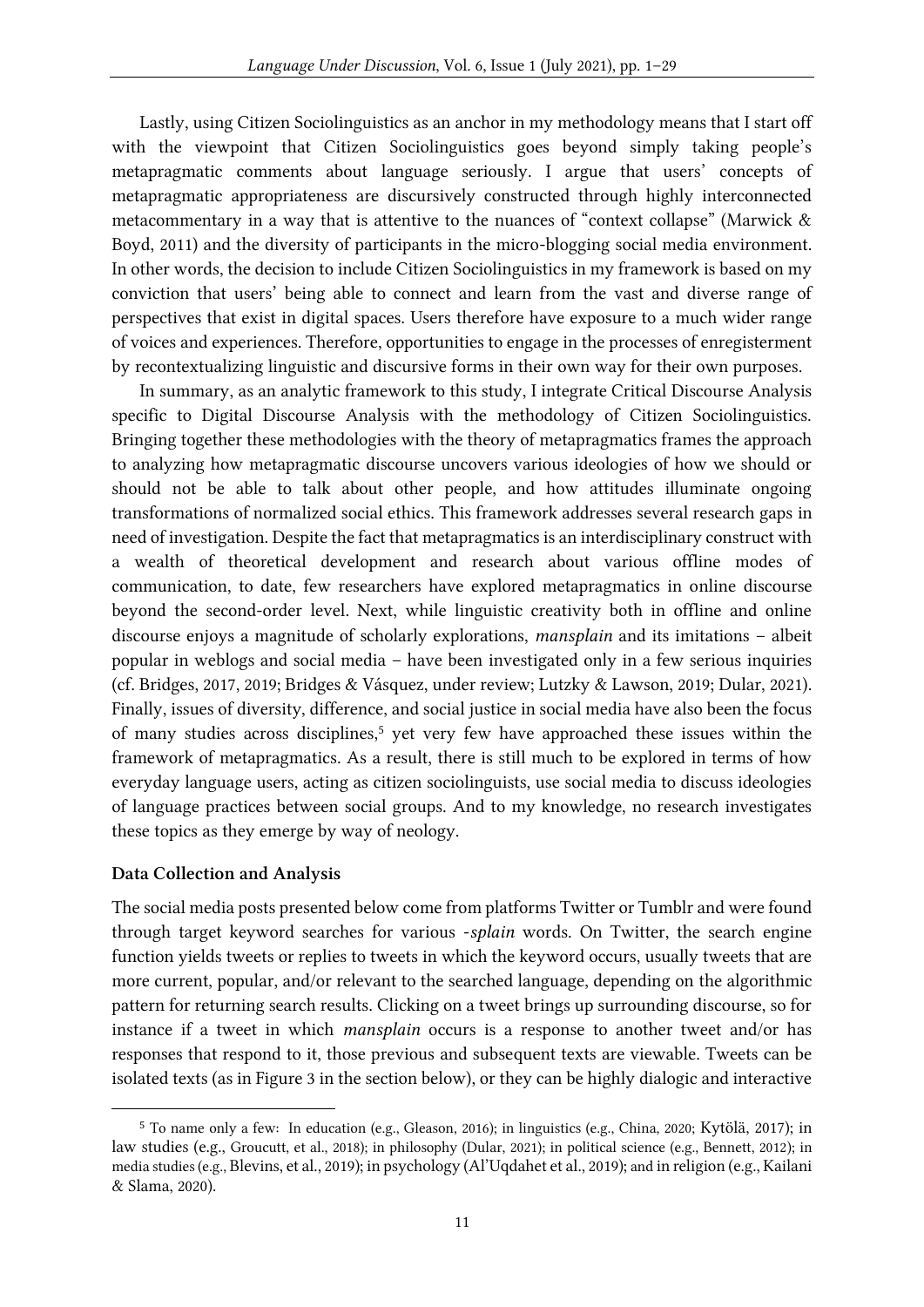Lastly, using Citizen Sociolinguistics as an anchor in my methodology means that I start off with the viewpoint that Citizen Sociolinguistics goes beyond simply taking people's metapragmatic comments about language seriously. I argue that users' concepts of metapragmatic appropriateness are discursively constructed through highly interconnected metacommentary in a way that is attentive to the nuances of "context collapse" (Marwick  $\&$ Boyd, 2011) and the diversity of participants in the micro-blogging social media environment. In other words, the decision to include Citizen Sociolinguistics in my framework is based on my conviction that users' being able to connect and learn from the vast and diverse range of perspectives that exist in digital spaces. Users therefore have exposure to a much wider range of voices and experiences. Therefore, opportunities to engage in the processes of enregisterment by recontextualizing linguistic and discursive forms in their own way for their own purposes.

In summary, as an analytic framework to this study, I integrate Critical Discourse Analysis specific to Digital Discourse Analysis with the methodology of Citizen Sociolinguistics. Bringing together these methodologies with the theory of metapragmatics frames the approach to analyzing how metapragmatic discourse uncovers various ideologies of how we should or should not be able to talk about other people, and how attitudes illuminate ongoing transformations of normalized social ethics. This framework addresses several research gaps in need of investigation. Despite the fact that metapragmatics is an interdisciplinary construct with a wealth of theoretical development and research about various offline modes of communication, to date, few researchers have explored metapragmatics in online discourse beyond the second-order level. Next, while linguistic creativity both in offline and online discourse enjoys a magnitude of scholarly explorations, *mansplain* and its imitations – albeit popular in weblogs and social media – have been investigated only in a few serious inquiries (cf. Bridges, 2017, 2019; Bridges & Vásquez, under review; Lutzky & Lawson, 2019; Dular, 2021). Finally, issues of diversity, difference, and social justice in social media have also been the focus of many studies across disciplines,<sup>5</sup> yet very few have approached these issues within the framework of metapragmatics. As a result, there is still much to be explored in terms of how everyday language users, acting as citizen sociolinguists, use social media to discuss ideologies of language practices between social groups. And to my knowledge, no research investigates these topics as they emerge by way of neology.

# Data Collection and Analysis

The social media posts presented below come from platforms Twitter or Tumblr and were found through target keyword searches for various -*splain* words. On Twitter, the search engine function yields tweets or replies to tweets in which the keyword occurs, usually tweets that are more current, popular, and/or relevant to the searched language, depending on the algorithmic pattern for returning search results. Clicking on a tweet brings up surrounding discourse, so for instance if a tweet in which *mansplain* occurs is a response to another tweet and/or has responses that respond to it, those previous and subsequent texts are viewable. Tweets can be isolated texts (as in Figure 3 in the section below), or they can be highly dialogic and interactive

<sup>5</sup> To name only a few: In education (e.g., Gleason, 2016); in linguistics (e.g., China, 2020; Kytölä, 2017); in law studies (e.g., Groucutt, et al., 2018); in philosophy (Dular, 2021); in political science (e.g., Bennett, 2012); in media studies (e.g., Blevins, et al., 2019); in psychology (Al'Uqdahet et al., 2019); and in religion (e.g., Kailani & Slama, 2020).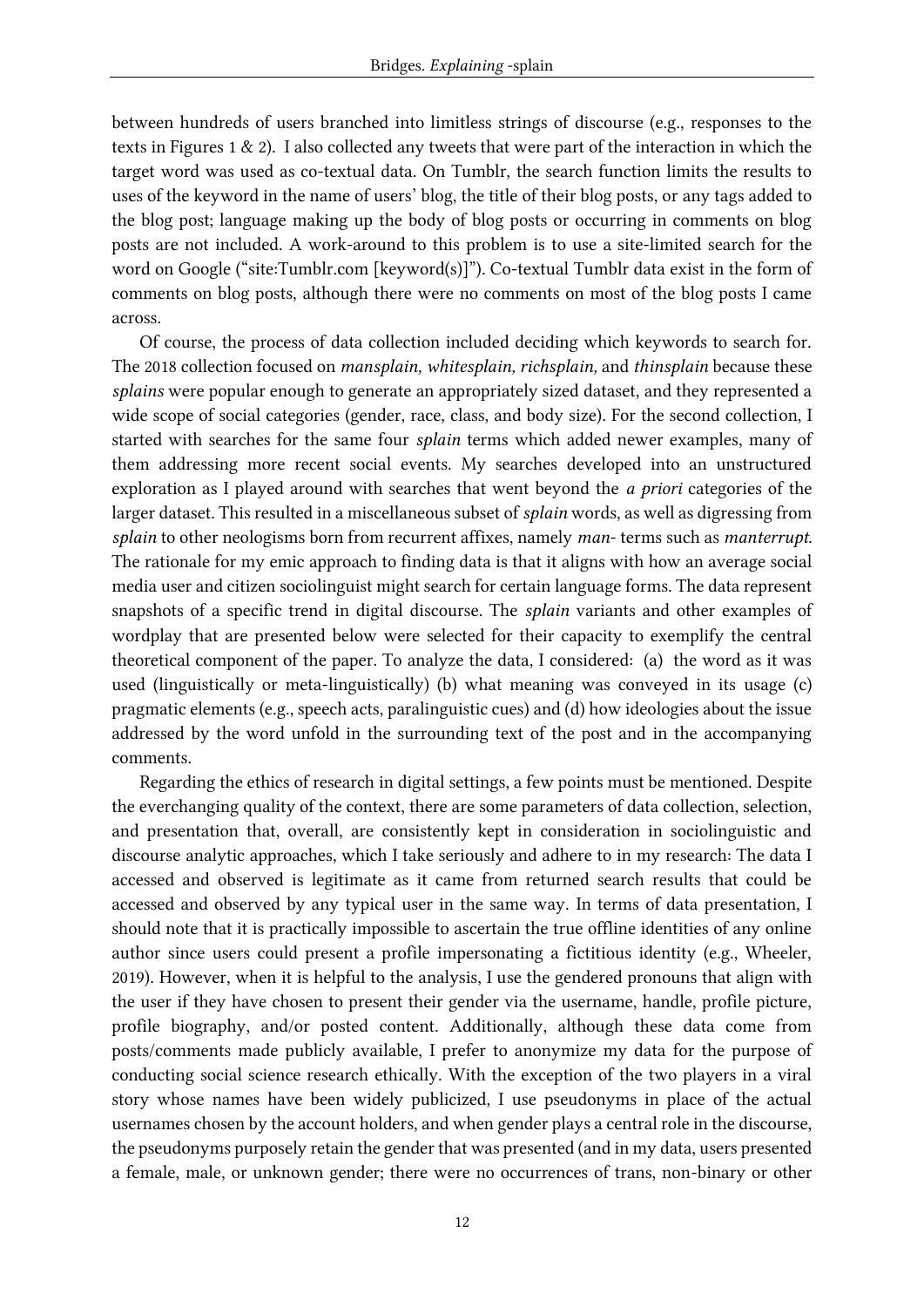between hundreds of users branched into limitless strings of discourse (e.g., responses to the texts in Figures 1 & 2). I also collected any tweets that were part of the interaction in which the target word was used as co-textual data. On Tumblr, the search function limits the results to uses of the keyword in the name of users' blog, the title of their blog posts, or any tags added to the blog post; language making up the body of blog posts or occurring in comments on blog posts are not included. A work-around to this problem is to use a site-limited search for the word on Google ("site:Tumblr.com [keyword(s)]"). Co-textual Tumblr data exist in the form of comments on blog posts, although there were no comments on most of the blog posts I came across.

Of course, the process of data collection included deciding which keywords to search for. The 2018 collection focused on *mansplain, whitesplain, richsplain,* and *thinsplain* because these *splains* were popular enough to generate an appropriately sized dataset, and they represented a wide scope of social categories (gender, race, class, and body size). For the second collection, I started with searches for the same four *splain* terms which added newer examples, many of them addressing more recent social events. My searches developed into an unstructured exploration as I played around with searches that went beyond the *a priori* categories of the larger dataset. This resulted in a miscellaneous subset of *splain* words, as well as digressing from *splain* to other neologisms born from recurrent affixes, namely *man*- terms such as *manterrupt.* The rationale for my emic approach to finding data is that it aligns with how an average social media user and citizen sociolinguist might search for certain language forms. The data represent snapshots of a specific trend in digital discourse. The *splain* variants and other examples of wordplay that are presented below were selected for their capacity to exemplify the central theoretical component of the paper. To analyze the data, I considered: (a) the word as it was used (linguistically or meta-linguistically) (b) what meaning was conveyed in its usage (c) pragmatic elements (e.g., speech acts, paralinguistic cues) and (d) how ideologies about the issue addressed by the word unfold in the surrounding text of the post and in the accompanying comments.

Regarding the ethics of research in digital settings, a few points must be mentioned. Despite the everchanging quality of the context, there are some parameters of data collection, selection, and presentation that, overall, are consistently kept in consideration in sociolinguistic and discourse analytic approaches, which I take seriously and adhere to in my research: The data I accessed and observed is legitimate as it came from returned search results that could be accessed and observed by any typical user in the same way. In terms of data presentation, I should note that it is practically impossible to ascertain the true offline identities of any online author since users could present a profile impersonating a fictitious identity (e.g., Wheeler, 2019). However, when it is helpful to the analysis, I use the gendered pronouns that align with the user if they have chosen to present their gender via the username, handle, profile picture, profile biography, and/or posted content. Additionally, although these data come from posts/comments made publicly available, I prefer to anonymize my data for the purpose of conducting social science research ethically. With the exception of the two players in a viral story whose names have been widely publicized, I use pseudonyms in place of the actual usernames chosen by the account holders, and when gender plays a central role in the discourse, the pseudonyms purposely retain the gender that was presented (and in my data, users presented a female, male, or unknown gender; there were no occurrences of trans, non-binary or other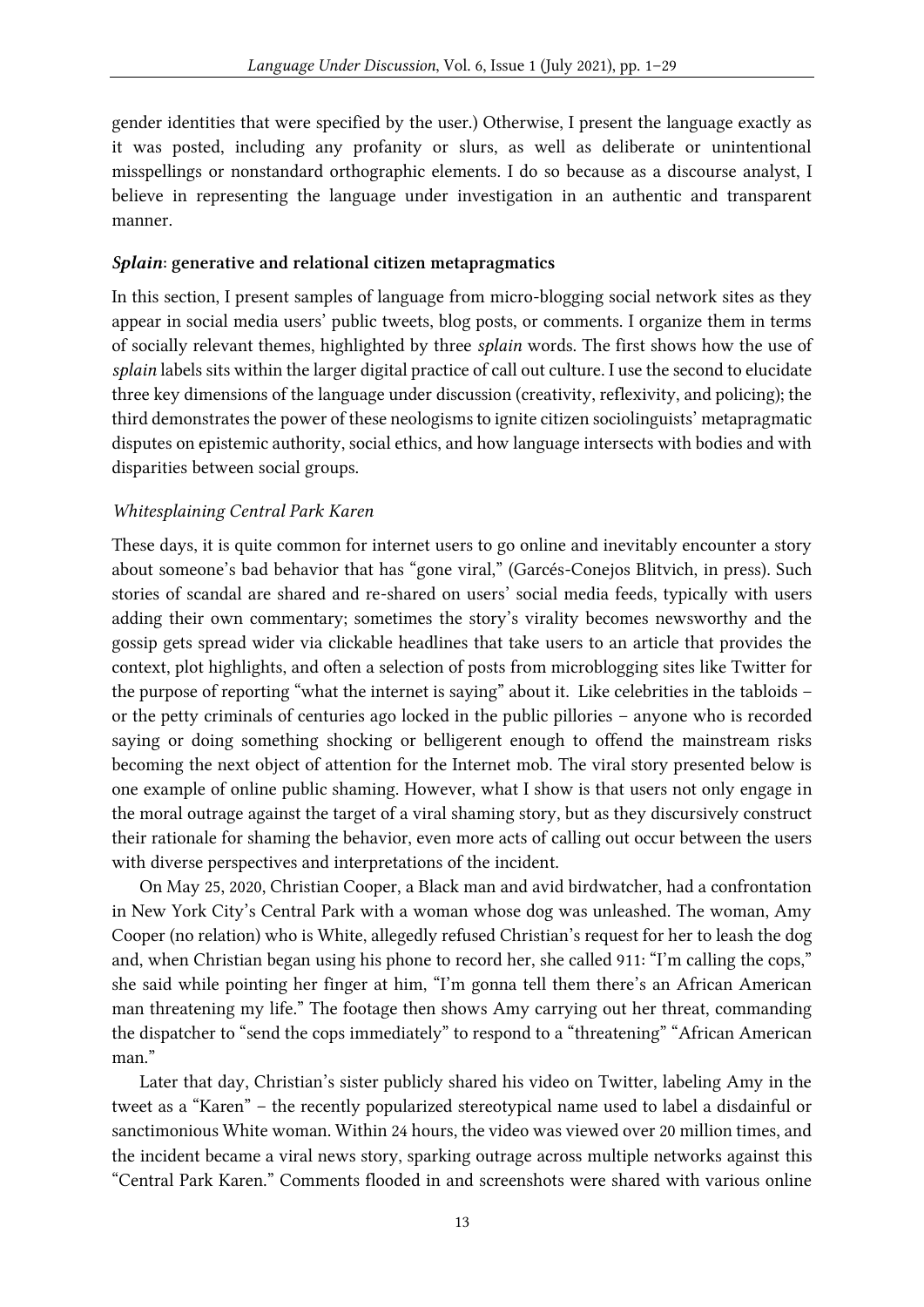gender identities that were specified by the user.) Otherwise, I present the language exactly as it was posted, including any profanity or slurs, as well as deliberate or unintentional misspellings or nonstandard orthographic elements. I do so because as a discourse analyst, I believe in representing the language under investigation in an authentic and transparent manner.

### *Splain*: generative and relational citizen metapragmatics

In this section, I present samples of language from micro-blogging social network sites as they appear in social media users' public tweets, blog posts, or comments. I organize them in terms of socially relevant themes, highlighted by three *splain* words. The first shows how the use of *splain* labels sits within the larger digital practice of call out culture. I use the second to elucidate three key dimensions of the language under discussion (creativity, reflexivity, and policing); the third demonstrates the power of these neologisms to ignite citizen sociolinguists' metapragmatic disputes on epistemic authority, social ethics, and how language intersects with bodies and with disparities between social groups.

# *Whitesplaining Central Park Karen*

These days, it is quite common for internet users to go online and inevitably encounter a story about someone's bad behavior that has "gone viral," (Garcés-Conejos Blitvich, in press). Such stories of scandal are shared and re-shared on users' social media feeds, typically with users adding their own commentary; sometimes the story's virality becomes newsworthy and the gossip gets spread wider via clickable headlines that take users to an article that provides the context, plot highlights, and often a selection of posts from microblogging sites like Twitter for the purpose of reporting "what the internet is saying" about it. Like celebrities in the tabloids – or the petty criminals of centuries ago locked in the public pillories – anyone who is recorded saying or doing something shocking or belligerent enough to offend the mainstream risks becoming the next object of attention for the Internet mob. The viral story presented below is one example of online public shaming. However, what I show is that users not only engage in the moral outrage against the target of a viral shaming story, but as they discursively construct their rationale for shaming the behavior, even more acts of calling out occur between the users with diverse perspectives and interpretations of the incident.

On May 25, 2020, Christian Cooper, a Black man and avid birdwatcher, had a confrontation in New York City's Central Park with a woman whose dog was unleashed. The woman, Amy Cooper (no relation) who is White, allegedly refused Christian's request for her to leash the dog and, when Christian began using his phone to record her, she called 911: "I'm calling the cops," she said while pointing her finger at him, "I'm gonna tell them there's an African American man threatening my life." The footage then shows Amy carrying out her threat, commanding the dispatcher to "send the cops immediately" to respond to a "threatening" "African American man."

Later that day, Christian's sister publicly shared his video on Twitter, labeling Amy in the tweet as a "Karen" – the recently popularized stereotypical name used to label a disdainful or sanctimonious White woman. Within 24 hours, the video was viewed over 20 million times, and the incident became a viral news story, sparking outrage across multiple networks against this "Central Park Karen." Comments flooded in and screenshots were shared with various online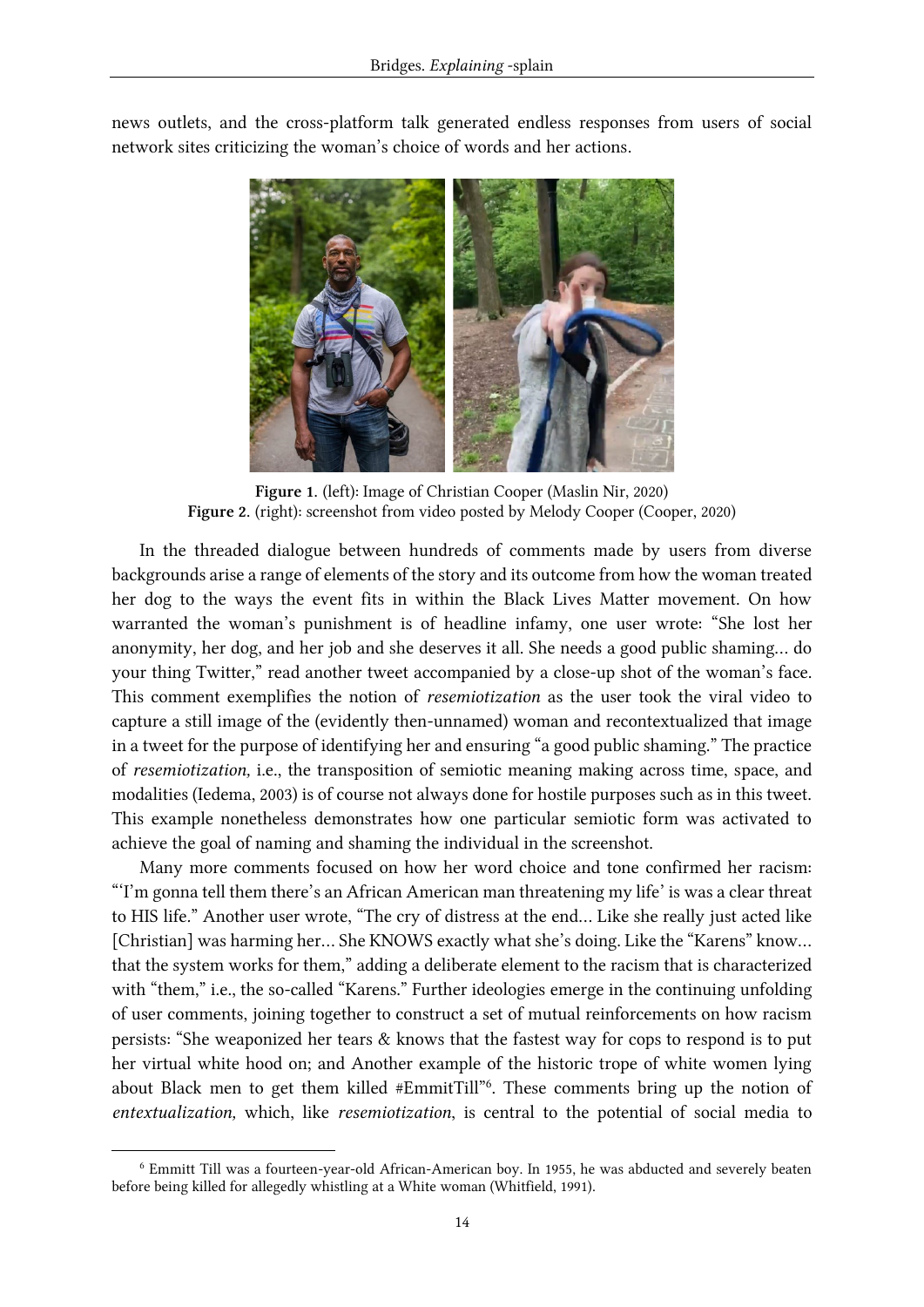

news outlets, and the cross-platform talk generated endless responses from users of social network sites criticizing the woman's choice of words and her actions.

Figure 1. (left): Image of Christian Cooper (Maslin Nir, 2020) Figure 2. (right): screenshot from video posted by Melody Cooper (Cooper, 2020)

In the threaded dialogue between hundreds of comments made by users from diverse backgrounds arise a range of elements of the story and its outcome from how the woman treated her dog to the ways the event fits in within the Black Lives Matter movement. On how warranted the woman's punishment is of headline infamy, one user wrote: "She lost her anonymity, her dog, and her job and she deserves it all. She needs a good public shaming… do your thing Twitter," read another tweet accompanied by a close-up shot of the woman's face. This comment exemplifies the notion of *resemiotization* as the user took the viral video to capture a still image of the (evidently then-unnamed) woman and recontextualized that image in a tweet for the purpose of identifying her and ensuring "a good public shaming." The practice of *resemiotization,* i.e., the transposition of semiotic meaning making across time, space, and modalities (Iedema, 2003) is of course not always done for hostile purposes such as in this tweet. This example nonetheless demonstrates how one particular semiotic form was activated to achieve the goal of naming and shaming the individual in the screenshot.

Many more comments focused on how her word choice and tone confirmed her racism: "'I'm gonna tell them there's an African American man threatening my life' is was a clear threat to HIS life*.*" Another user wrote, "The cry of distress at the end… Like she really just acted like [Christian] was harming her… She KNOWS exactly what she's doing. Like the "Karens" know… that the system works for them," adding a deliberate element to the racism that is characterized with "them," i.e., the so-called "Karens." Further ideologies emerge in the continuing unfolding of user comments, joining together to construct a set of mutual reinforcements on how racism persists: "She weaponized her tears & knows that the fastest way for cops to respond is to put her virtual white hood on; and Another example of the historic trope of white women lying about Black men to get them killed #EmmitTill" 6 . These comments bring up the notion of *entextualization,* which, like *resemiotization*, is central to the potential of social media to

<sup>6</sup> Emmitt Till was a fourteen-year-old African-American boy. In 1955, he was abducted and severely beaten before being killed for allegedly whistling at a White woman (Whitfield, 1991).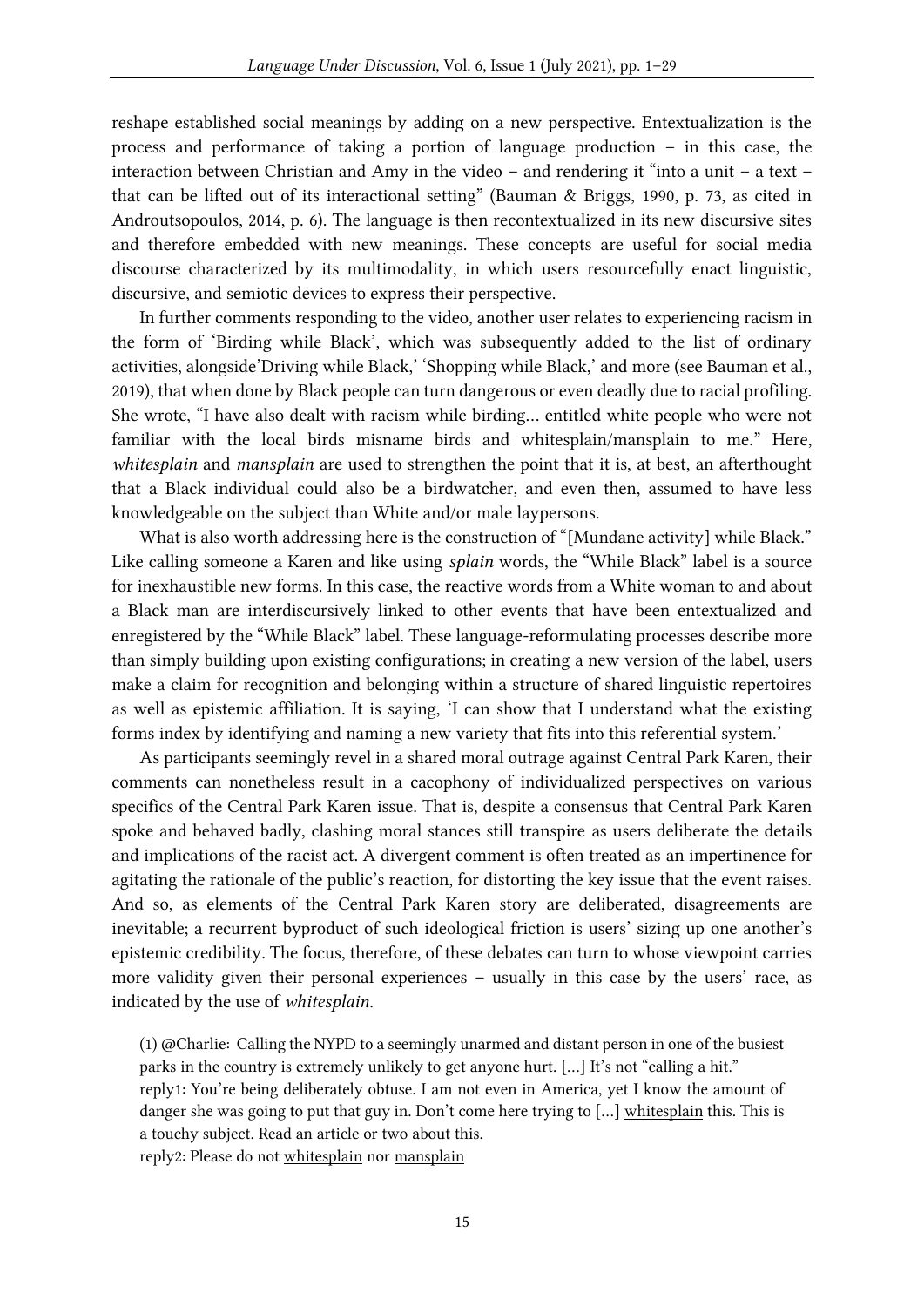reshape established social meanings by adding on a new perspective. Entextualization is the process and performance of taking a portion of language production – in this case, the interaction between Christian and Amy in the video – and rendering it "into a unit – a text – that can be lifted out of its interactional setting" (Bauman & Briggs, 1990, p. 73, as cited in Androutsopoulos, 2014, p. 6). The language is then recontextualized in its new discursive sites and therefore embedded with new meanings. These concepts are useful for social media discourse characterized by its multimodality, in which users resourcefully enact linguistic, discursive, and semiotic devices to express their perspective.

In further comments responding to the video, another user relates to experiencing racism in the form of 'Birding while Black', which was subsequently added to the list of ordinary activities, alongside'Driving while Black,' 'Shopping while Black,' and more (see Bauman et al., 2019), that when done by Black people can turn dangerous or even deadly due to racial profiling. She wrote, "I have also dealt with racism while birding… entitled white people who were not familiar with the local birds misname birds and whitesplain/mansplain to me." Here, *whitesplain* and *mansplain* are used to strengthen the point that it is, at best, an afterthought that a Black individual could also be a birdwatcher, and even then, assumed to have less knowledgeable on the subject than White and/or male laypersons.

What is also worth addressing here is the construction of "[Mundane activity] while Black." Like calling someone a Karen and like using *splain* words, the "While Black" label is a source for inexhaustible new forms. In this case, the reactive words from a White woman to and about a Black man are interdiscursively linked to other events that have been entextualized and enregistered by the "While Black" label. These language-reformulating processes describe more than simply building upon existing configurations; in creating a new version of the label, users make a claim for recognition and belonging within a structure of shared linguistic repertoires as well as epistemic affiliation. It is saying, 'I can show that I understand what the existing forms index by identifying and naming a new variety that fits into this referential system.'

As participants seemingly revel in a shared moral outrage against Central Park Karen, their comments can nonetheless result in a cacophony of individualized perspectives on various specifics of the Central Park Karen issue. That is, despite a consensus that Central Park Karen spoke and behaved badly, clashing moral stances still transpire as users deliberate the details and implications of the racist act. A divergent comment is often treated as an impertinence for agitating the rationale of the public's reaction, for distorting the key issue that the event raises. And so, as elements of the Central Park Karen story are deliberated, disagreements are inevitable; a recurrent byproduct of such ideological friction is users' sizing up one another's epistemic credibility. The focus, therefore, of these debates can turn to whose viewpoint carries more validity given their personal experiences – usually in this case by the users' race, as indicated by the use of *whitesplain*.

(1) @Charlie: Calling the NYPD to a seemingly unarmed and distant person in one of the busiest parks in the country is extremely unlikely to get anyone hurt. […] It's not "calling a hit." reply1: You're being deliberately obtuse. I am not even in America, yet I know the amount of danger she was going to put that guy in. Don't come here trying to [...] whitesplain this. This is a touchy subject. Read an article or two about this. reply2: Please do not whitesplain nor mansplain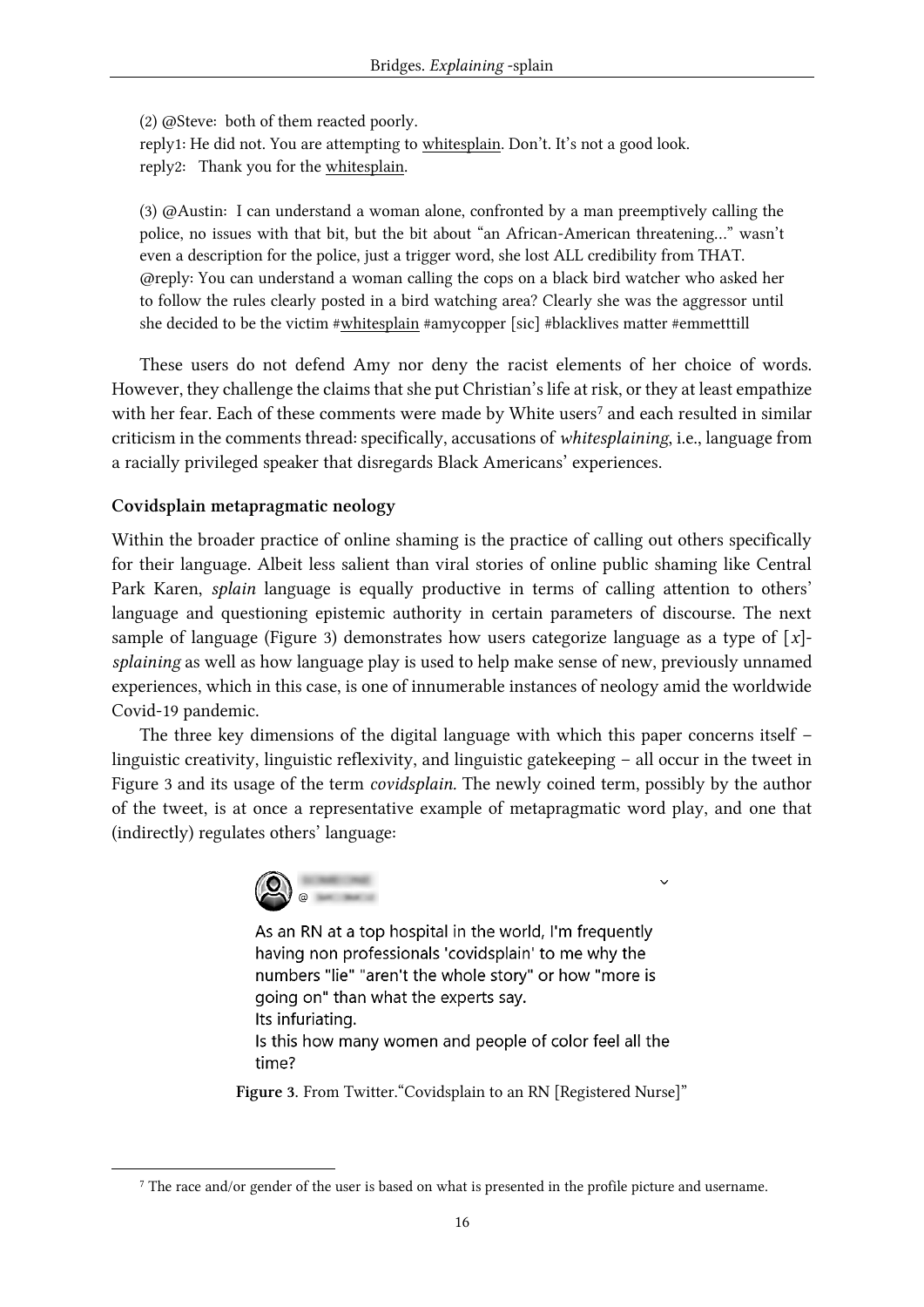(2) @Steve: both of them reacted poorly. reply1: He did not. You are attempting to whitesplain. Don't. It's not a good look. reply2: Thank you for the whitesplain.

(3) @Austin: I can understand a woman alone, confronted by a man preemptively calling the police, no issues with that bit, but the bit about "an African-American threatening…" wasn't even a description for the police, just a trigger word, she lost ALL credibility from THAT. @reply: You can understand a woman calling the cops on a black bird watcher who asked her to follow the rules clearly posted in a bird watching area? Clearly she was the aggressor until she decided to be the victim #whitesplain #amycopper [sic] #blacklives matter #emmetttill

These users do not defend Amy nor deny the racist elements of her choice of words. However, they challenge the claims that she put Christian's life at risk, or they at least empathize with her fear. Each of these comments were made by White users<sup>7</sup> and each resulted in similar criticism in the comments thread: specifically, accusations of *whitesplaining*, i.e., language from a racially privileged speaker that disregards Black Americans' experiences.

### Covidsplain metapragmatic neology

Within the broader practice of online shaming is the practice of calling out others specifically for their language. Albeit less salient than viral stories of online public shaming like Central Park Karen, *splain* language is equally productive in terms of calling attention to others' language and questioning epistemic authority in certain parameters of discourse. The next sample of language (Figure 3) demonstrates how users categorize language as a type of [*x*] *splaining* as well as how language play is used to help make sense of new, previously unnamed experiences, which in this case, is one of innumerable instances of neology amid the worldwide Covid-19 pandemic.

The three key dimensions of the digital language with which this paper concerns itself – linguistic creativity, linguistic reflexivity, and linguistic gatekeeping – all occur in the tweet in Figure 3 and its usage of the term *covidsplain.* The newly coined term, possibly by the author of the tweet, is at once a representative example of metapragmatic word play, and one that (indirectly) regulates others' language:

 $\checkmark$ 



As an RN at a top hospital in the world, I'm frequently having non professionals 'covidsplain' to me why the numbers "lie" "aren't the whole story" or how "more is going on" than what the experts say. Its infuriating. Is this how many women and people of color feel all the time?

Figure 3. From Twitter."Covidsplain to an RN [Registered Nurse]"

<sup>7</sup> The race and/or gender of the user is based on what is presented in the profile picture and username.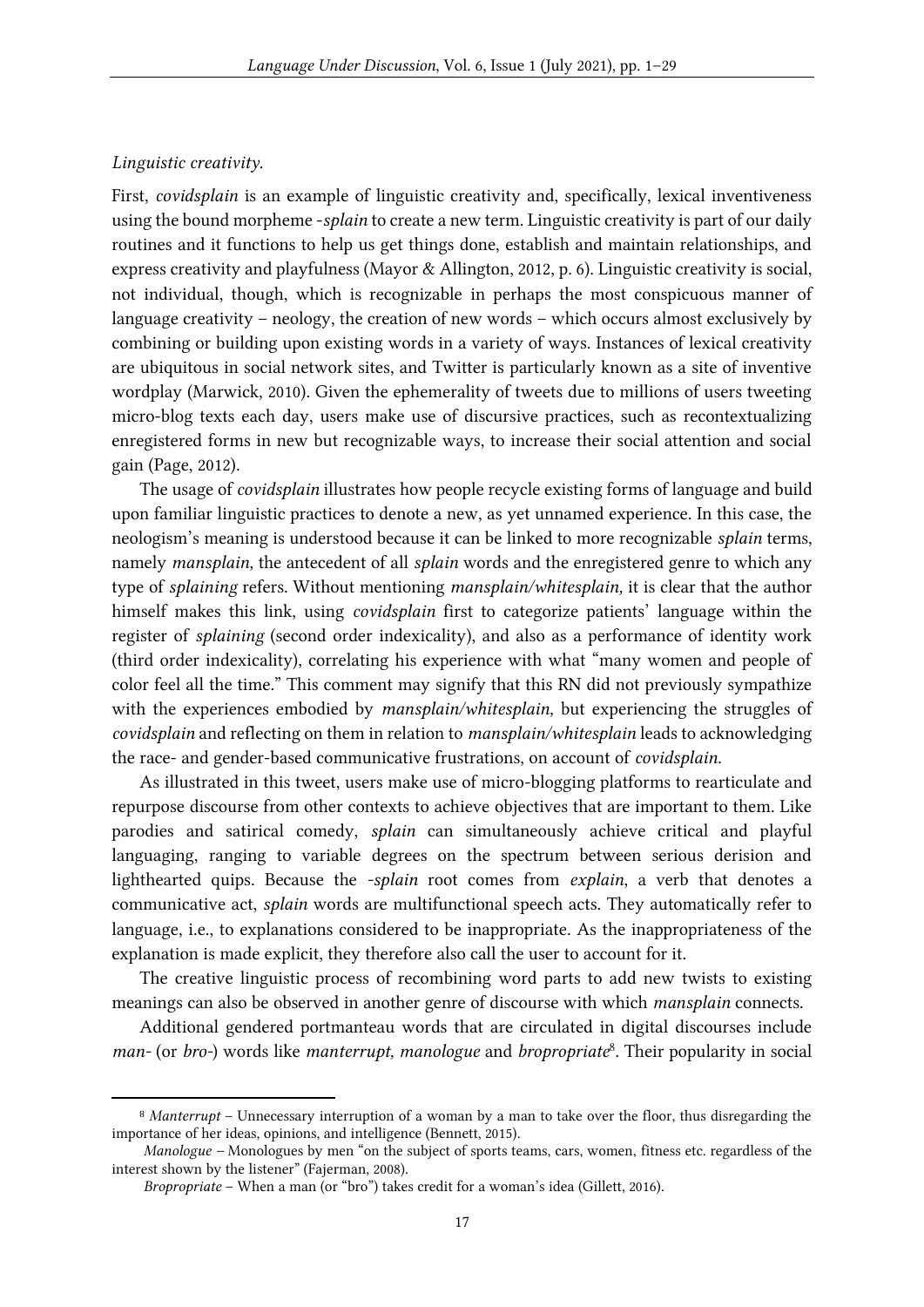#### *Linguistic creativity.*

First, *covidsplain* is an example of linguistic creativity and, specifically, lexical inventiveness using the bound morpheme -*splain* to create a new term. Linguistic creativity is part of our daily routines and it functions to help us get things done, establish and maintain relationships, and express creativity and playfulness (Mayor & Allington, 2012, p. 6). Linguistic creativity is social, not individual, though, which is recognizable in perhaps the most conspicuous manner of language creativity – neology, the creation of new words – which occurs almost exclusively by combining or building upon existing words in a variety of ways. Instances of lexical creativity are ubiquitous in social network sites, and Twitter is particularly known as a site of inventive wordplay (Marwick, 2010). Given the ephemerality of tweets due to millions of users tweeting micro-blog texts each day, users make use of discursive practices, such as recontextualizing enregistered forms in new but recognizable ways, to increase their social attention and social gain (Page, 2012).

The usage of *covidsplain* illustrates how people recycle existing forms of language and build upon familiar linguistic practices to denote a new, as yet unnamed experience. In this case, the neologism's meaning is understood because it can be linked to more recognizable *splain* terms, namely *mansplain,* the antecedent of all *splain* words and the enregistered genre to which any type of *splaining* refers. Without mentioning *mansplain/whitesplain,* it is clear that the author himself makes this link, using *covidsplain* first to categorize patients' language within the register of *splaining* (second order indexicality), and also as a performance of identity work (third order indexicality), correlating his experience with what "many women and people of color feel all the time." This comment may signify that this RN did not previously sympathize with the experiences embodied by *mansplain/whitesplain,* but experiencing the struggles of *covidsplain* and reflecting on them in relation to *mansplain/whitesplain* leads to acknowledging the race- and gender-based communicative frustrations, on account of *covidsplain.* 

As illustrated in this tweet, users make use of micro-blogging platforms to rearticulate and repurpose discourse from other contexts to achieve objectives that are important to them. Like parodies and satirical comedy, *splain* can simultaneously achieve critical and playful languaging, ranging to variable degrees on the spectrum between serious derision and lighthearted quips. Because the *-splain* root comes from *explain*, a verb that denotes a communicative act, *splain* words are multifunctional speech acts. They automatically refer to language, i.e., to explanations considered to be inappropriate. As the inappropriateness of the explanation is made explicit, they therefore also call the user to account for it.

The creative linguistic process of recombining word parts to add new twists to existing meanings can also be observed in another genre of discourse with which *mansplain* connects.

Additional gendered portmanteau words that are circulated in digital discourses include *man-* (or *bro-*) words like *manterrupt, manologue* and *bropropriate*<sup>8</sup> *.* Their popularity in social

<sup>8</sup> *Manterrupt* – Unnecessary interruption of a woman by a man to take over the floor, thus disregarding the importance of her ideas, opinions, and intelligence (Bennett, 2015).

*Manologue –* Monologues by men "on the subject of sports teams, cars, women, fitness etc. regardless of the interest shown by the listener" (Fajerman, 2008).

*Bropropriate* – When a man (or "bro") takes credit for a woman's idea (Gillett, 2016).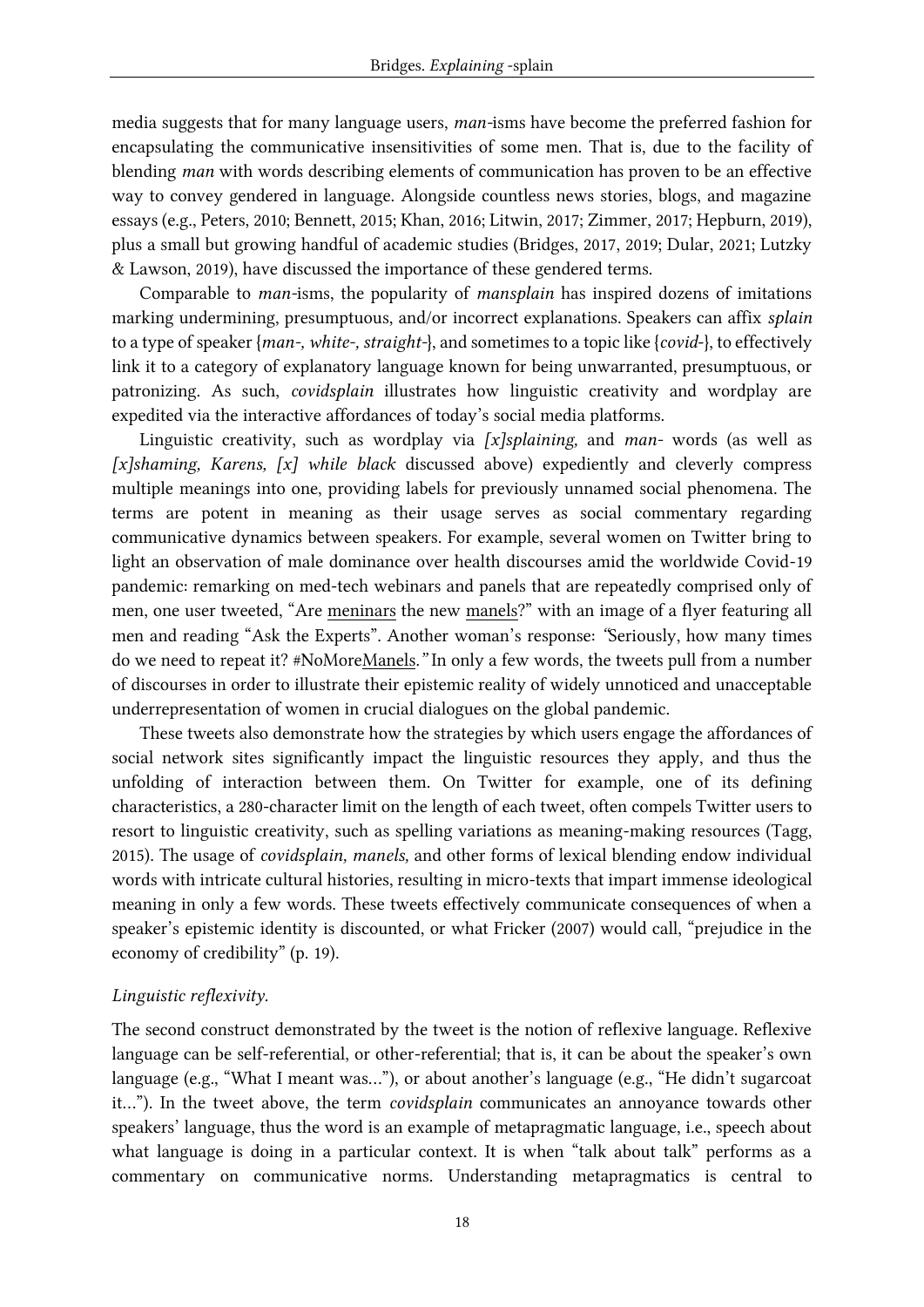media suggests that for many language users, *man-*isms have become the preferred fashion for encapsulating the communicative insensitivities of some men. That is, due to the facility of blending *man* with words describing elements of communication has proven to be an effective way to convey gendered in language. Alongside countless news stories, blogs, and magazine essays (e.g., Peters, 2010; Bennett, 2015; Khan, 2016; Litwin, 2017; Zimmer, 2017; Hepburn, 2019), plus a small but growing handful of academic studies (Bridges, 2017, 2019; Dular, 2021; Lutzky & Lawson, 2019), have discussed the importance of these gendered terms.

Comparable to *man-*isms, the popularity of *mansplain* has inspired dozens of imitations marking undermining, presumptuous, and/or incorrect explanations. Speakers can affix *splain* to a type of speaker {*man-, white-, straight-*}, and sometimes to a topic like {*covid*-}, to effectively link it to a category of explanatory language known for being unwarranted, presumptuous, or patronizing. As such, *covidsplain* illustrates how linguistic creativity and wordplay are expedited via the interactive affordances of today's social media platforms.

Linguistic creativity, such as wordplay via *[x]splaining,* and *man-* words (as well as *[x]shaming, Karens, [x] while black* discussed above) expediently and cleverly compress multiple meanings into one, providing labels for previously unnamed social phenomena. The terms are potent in meaning as their usage serves as social commentary regarding communicative dynamics between speakers. For example, several women on Twitter bring to light an observation of male dominance over health discourses amid the worldwide Covid-19 pandemic: remarking on med-tech webinars and panels that are repeatedly comprised only of men, one user tweeted, "Are meninars the new manels?" with an image of a flyer featuring all men and reading "Ask the Experts". Another woman's response: *"*Seriously, how many times do we need to repeat it? #NoMoreManels*."* In only a few words, the tweets pull from a number of discourses in order to illustrate their epistemic reality of widely unnoticed and unacceptable underrepresentation of women in crucial dialogues on the global pandemic.

These tweets also demonstrate how the strategies by which users engage the affordances of social network sites significantly impact the linguistic resources they apply, and thus the unfolding of interaction between them. On Twitter for example, one of its defining characteristics, a 280-character limit on the length of each tweet, often compels Twitter users to resort to linguistic creativity, such as spelling variations as meaning-making resources (Tagg, 2015). The usage of *covidsplain, manels,* and other forms of lexical blending endow individual words with intricate cultural histories, resulting in micro-texts that impart immense ideological meaning in only a few words. These tweets effectively communicate consequences of when a speaker's epistemic identity is discounted, or what Fricker (2007) would call, "prejudice in the economy of credibility" (p. 19).

### *Linguistic reflexivity.*

The second construct demonstrated by the tweet is the notion of reflexive language. Reflexive language can be self-referential, or other-referential; that is, it can be about the speaker's own language (e.g., "What I meant was…"), or about another's language (e.g., "He didn't sugarcoat it…"). In the tweet above, the term *covidsplain* communicates an annoyance towards other speakers' language, thus the word is an example of metapragmatic language, i.e., speech about what language is doing in a particular context. It is when "talk about talk" performs as a commentary on communicative norms. Understanding metapragmatics is central to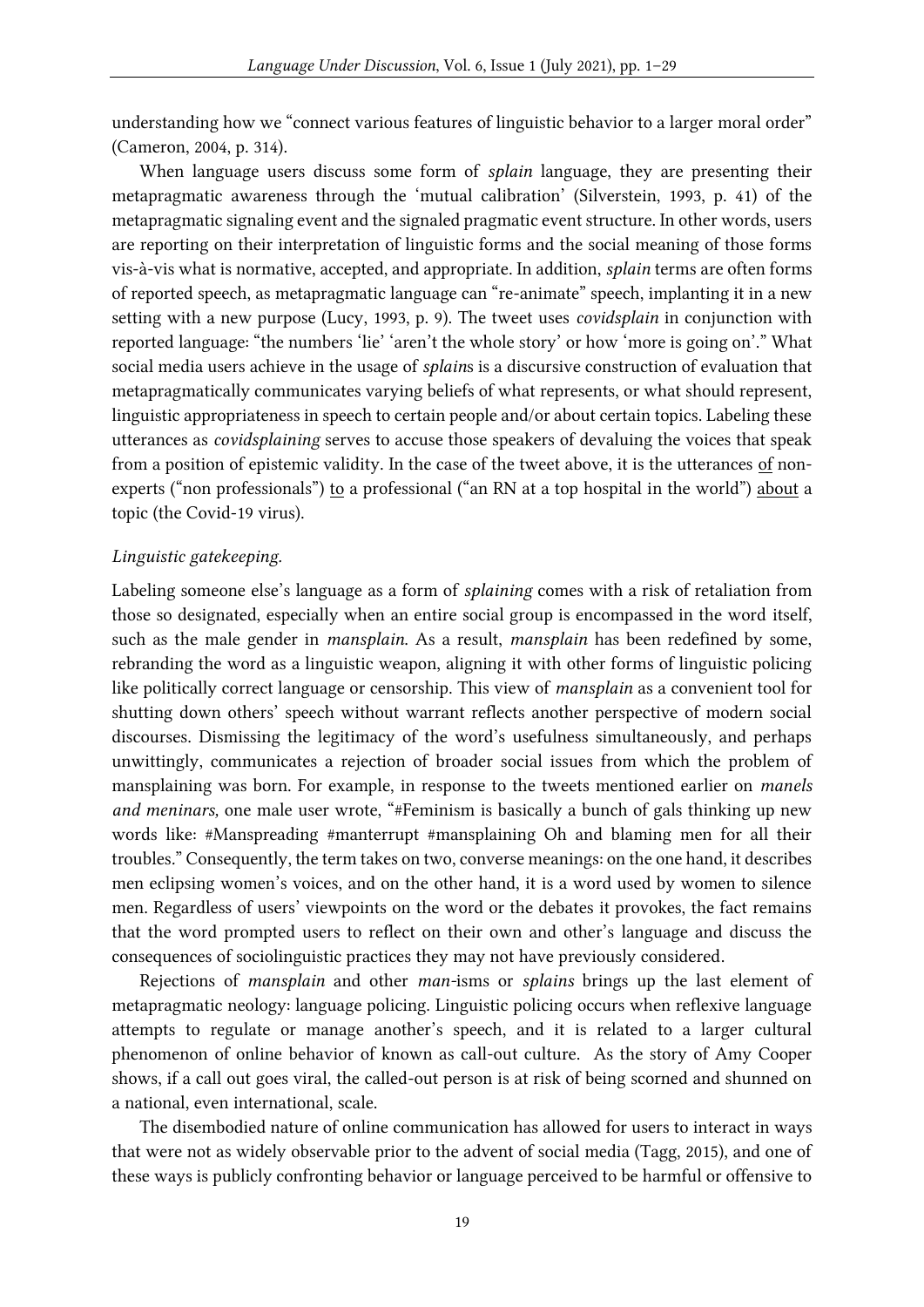understanding how we "connect various features of linguistic behavior to a larger moral order" (Cameron, 2004, p. 314).

When language users discuss some form of *splain* language, they are presenting their metapragmatic awareness through the 'mutual calibration' (Silverstein, 1993, p. 41) of the metapragmatic signaling event and the signaled pragmatic event structure. In other words, users are reporting on their interpretation of linguistic forms and the social meaning of those forms vis-à-vis what is normative, accepted, and appropriate. In addition, *splain* terms are often forms of reported speech, as metapragmatic language can "re-animate" speech, implanting it in a new setting with a new purpose (Lucy, 1993, p. 9). The tweet uses *covidsplain* in conjunction with reported language: "the numbers 'lie' 'aren't the whole story' or how 'more is going on'." What social media users achieve in the usage of *splain*s is a discursive construction of evaluation that metapragmatically communicates varying beliefs of what represents, or what should represent, linguistic appropriateness in speech to certain people and/or about certain topics. Labeling these utterances as *covidsplaining* serves to accuse those speakers of devaluing the voices that speak from a position of epistemic validity. In the case of the tweet above, it is the utterances of nonexperts ("non professionals") to a professional ("an RN at a top hospital in the world") about a topic (the Covid-19 virus).

#### *Linguistic gatekeeping.*

Labeling someone else's language as a form of *splaining* comes with a risk of retaliation from those so designated, especially when an entire social group is encompassed in the word itself, such as the male gender in *mansplain*. As a result, *mansplain* has been redefined by some, rebranding the word as a linguistic weapon, aligning it with other forms of linguistic policing like politically correct language or censorship. This view of *mansplain* as a convenient tool for shutting down others' speech without warrant reflects another perspective of modern social discourses. Dismissing the legitimacy of the word's usefulness simultaneously, and perhaps unwittingly, communicates a rejection of broader social issues from which the problem of mansplaining was born. For example, in response to the tweets mentioned earlier on *manels and meninars,* one male user wrote, "#Feminism is basically a bunch of gals thinking up new words like: #Manspreading #manterrupt #mansplaining Oh and blaming men for all their troubles*.*" Consequently, the term takes on two, converse meanings: on the one hand, it describes men eclipsing women's voices, and on the other hand, it is a word used by women to silence men. Regardless of users' viewpoints on the word or the debates it provokes, the fact remains that the word prompted users to reflect on their own and other's language and discuss the consequences of sociolinguistic practices they may not have previously considered.

Rejections of *mansplain* and other *man-*isms or *splains* brings up the last element of metapragmatic neology: language policing. Linguistic policing occurs when reflexive language attempts to regulate or manage another's speech, and it is related to a larger cultural phenomenon of online behavior of known as call-out culture. As the story of Amy Cooper shows, if a call out goes viral, the called-out person is at risk of being scorned and shunned on a national, even international, scale.

The disembodied nature of online communication has allowed for users to interact in ways that were not as widely observable prior to the advent of social media (Tagg, 2015), and one of these ways is publicly confronting behavior or language perceived to be harmful or offensive to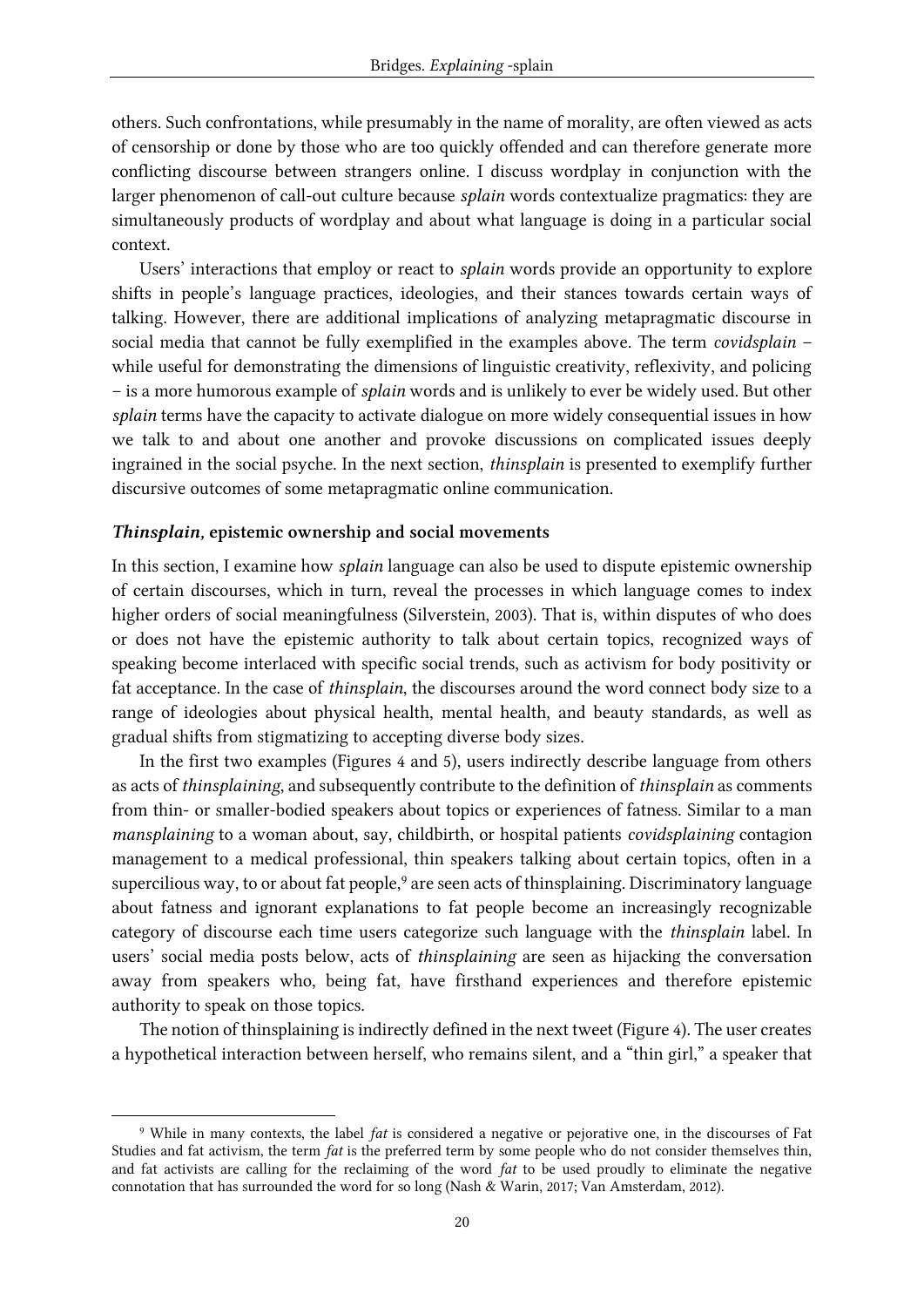others. Such confrontations, while presumably in the name of morality, are often viewed as acts of censorship or done by those who are too quickly offended and can therefore generate more conflicting discourse between strangers online. I discuss wordplay in conjunction with the larger phenomenon of call-out culture because *splain* words contextualize pragmatics: they are simultaneously products of wordplay and about what language is doing in a particular social context.

Users' interactions that employ or react to *splain* words provide an opportunity to explore shifts in people's language practices, ideologies, and their stances towards certain ways of talking. However, there are additional implications of analyzing metapragmatic discourse in social media that cannot be fully exemplified in the examples above. The term *covidsplain* – while useful for demonstrating the dimensions of linguistic creativity, reflexivity, and policing – is a more humorous example of *splain* words and is unlikely to ever be widely used. But other *splain* terms have the capacity to activate dialogue on more widely consequential issues in how we talk to and about one another and provoke discussions on complicated issues deeply ingrained in the social psyche. In the next section, *thinsplain* is presented to exemplify further discursive outcomes of some metapragmatic online communication.

### *Thinsplain,* epistemic ownership and social movements

In this section, I examine how *splain* language can also be used to dispute epistemic ownership of certain discourses, which in turn, reveal the processes in which language comes to index higher orders of social meaningfulness (Silverstein, 2003). That is, within disputes of who does or does not have the epistemic authority to talk about certain topics, recognized ways of speaking become interlaced with specific social trends, such as activism for body positivity or fat acceptance. In the case of *thinsplain*, the discourses around the word connect body size to a range of ideologies about physical health, mental health, and beauty standards, as well as gradual shifts from stigmatizing to accepting diverse body sizes.

In the first two examples (Figures 4 and 5), users indirectly describe language from others as acts of *thinsplaining*, and subsequently contribute to the definition of *thinsplain* as comments from thin- or smaller-bodied speakers about topics or experiences of fatness. Similar to a man *mansplaining* to a woman about, say, childbirth, or hospital patients *covidsplaining* contagion management to a medical professional, thin speakers talking about certain topics, often in a supercilious way, to or about fat people,<sup>9</sup> are seen acts of thinsplaining. Discriminatory language about fatness and ignorant explanations to fat people become an increasingly recognizable category of discourse each time users categorize such language with the *thinsplain* label. In users' social media posts below, acts of *thinsplaining* are seen as hijacking the conversation away from speakers who, being fat, have firsthand experiences and therefore epistemic authority to speak on those topics.

The notion of thinsplaining is indirectly defined in the next tweet (Figure 4). The user creates a hypothetical interaction between herself, who remains silent, and a "thin girl," a speaker that

<sup>9</sup> While in many contexts, the label *fat* is considered a negative or pejorative one, in the discourses of Fat Studies and fat activism, the term *fat* is the preferred term by some people who do not consider themselves thin, and fat activists are calling for the reclaiming of the word *fat* to be used proudly to eliminate the negative connotation that has surrounded the word for so long (Nash & Warin, 2017; Van Amsterdam, 2012).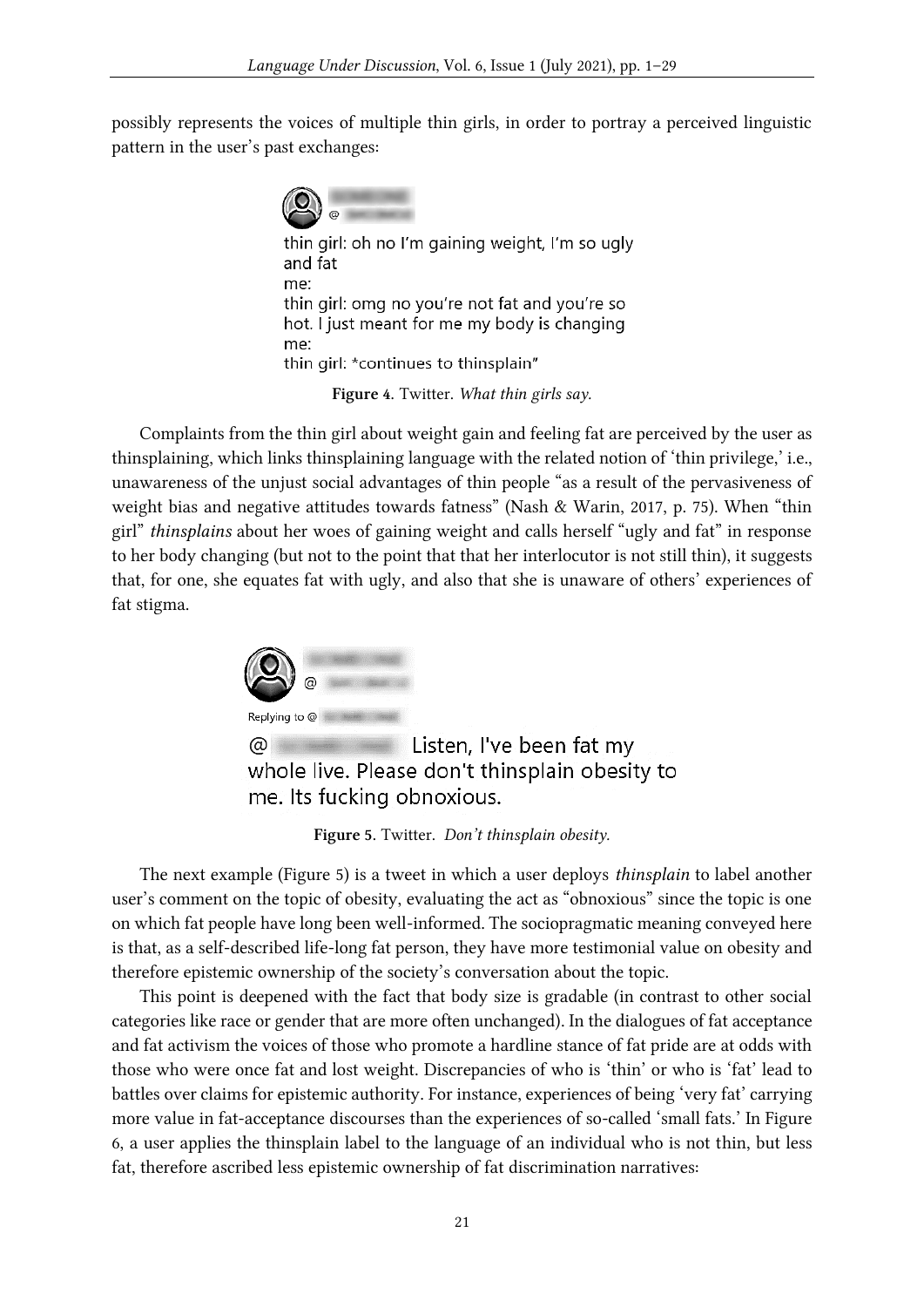possibly represents the voices of multiple thin girls, in order to portray a perceived linguistic pattern in the user's past exchanges:

> thin girl: oh no I'm gaining weight, I'm so ugly and fat me: thin girl: omg no you're not fat and you're so hot. I just meant for me my body is changing me: thin girl: \*continues to thinsplain"

> > Figure 4. Twitter. *What thin girls say.*

Complaints from the thin girl about weight gain and feeling fat are perceived by the user as thinsplaining, which links thinsplaining language with the related notion of 'thin privilege,' i.e., unawareness of the unjust social advantages of thin people "as a result of the pervasiveness of weight bias and negative attitudes towards fatness" (Nash & Warin, 2017, p. 75). When "thin girl" *thinsplains* about her woes of gaining weight and calls herself "ugly and fat" in response to her body changing (but not to the point that that her interlocutor is not still thin), it suggests that, for one, she equates fat with ugly, and also that she is unaware of others' experiences of fat stigma.



ര Listen, I've been fat my whole live. Please don't thinsplain obesity to me. Its fucking obnoxious.

Figure 5. Twitter. *Don't thinsplain obesity.*

The next example (Figure 5) is a tweet in which a user deploys *thinsplain* to label another user's comment on the topic of obesity, evaluating the act as "obnoxious" since the topic is one on which fat people have long been well-informed. The sociopragmatic meaning conveyed here is that, as a self-described life-long fat person, they have more testimonial value on obesity and therefore epistemic ownership of the society's conversation about the topic.

This point is deepened with the fact that body size is gradable (in contrast to other social categories like race or gender that are more often unchanged). In the dialogues of fat acceptance and fat activism the voices of those who promote a hardline stance of fat pride are at odds with those who were once fat and lost weight. Discrepancies of who is 'thin' or who is 'fat' lead to battles over claims for epistemic authority. For instance, experiences of being 'very fat' carrying more value in fat-acceptance discourses than the experiences of so-called 'small fats.' In Figure 6, a user applies the thinsplain label to the language of an individual who is not thin, but less fat, therefore ascribed less epistemic ownership of fat discrimination narratives: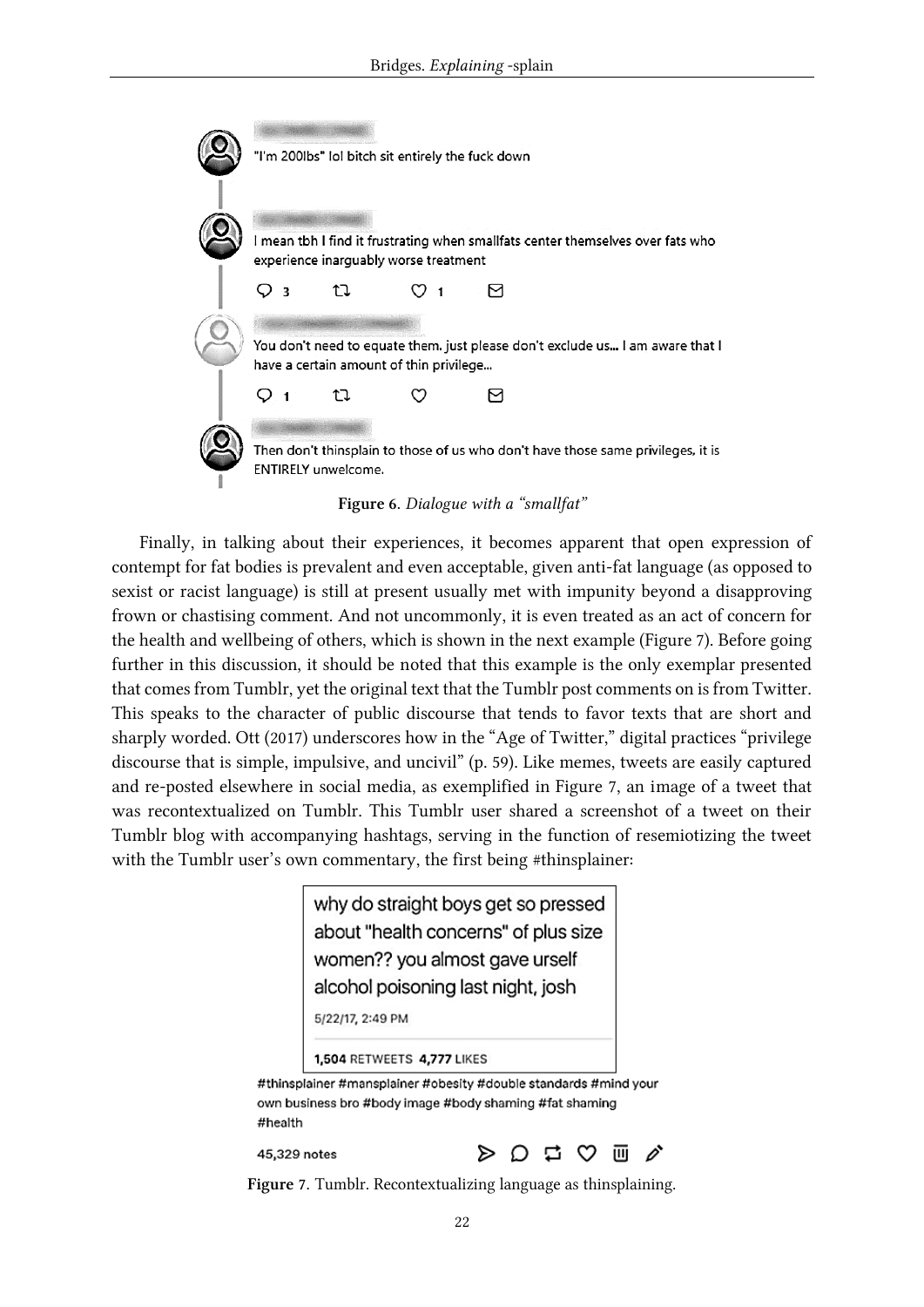|                                                                                                                          |                            | "I'm 200lbs" IoI bitch sit entirely the fuck down |  |  |                                                                                  |  |
|--------------------------------------------------------------------------------------------------------------------------|----------------------------|---------------------------------------------------|--|--|----------------------------------------------------------------------------------|--|
| I mean tbh I find it frustrating when smallfats center themselves over fats who<br>experience inarguably worse treatment |                            |                                                   |  |  |                                                                                  |  |
| 3                                                                                                                        | Τl                         |                                                   |  |  |                                                                                  |  |
| You don't need to equate them. just please don't exclude us I am aware that I<br>have a certain amount of thin privilege |                            |                                                   |  |  |                                                                                  |  |
|                                                                                                                          |                            |                                                   |  |  |                                                                                  |  |
|                                                                                                                          | <b>ENTIRELY unwelcome.</b> |                                                   |  |  | Then don't thinsplain to those of us who don't have those same privileges, it is |  |

 $\mathbf{I}$ 

Figure 6. *Dialogue with a "smallfat"*

Finally, in talking about their experiences, it becomes apparent that open expression of contempt for fat bodies is prevalent and even acceptable, given anti-fat language (as opposed to sexist or racist language) is still at present usually met with impunity beyond a disapproving frown or chastising comment. And not uncommonly, it is even treated as an act of concern for the health and wellbeing of others, which is shown in the next example (Figure 7). Before going further in this discussion, it should be noted that this example is the only exemplar presented that comes from Tumblr, yet the original text that the Tumblr post comments on is from Twitter. This speaks to the character of public discourse that tends to favor texts that are short and sharply worded. Ott (2017) underscores how in the "Age of Twitter," digital practices "privilege discourse that is simple, impulsive, and uncivil" (p. 59). Like memes, tweets are easily captured and re-posted elsewhere in social media, as exemplified in Figure 7, an image of a tweet that was recontextualized on Tumblr. This Tumblr user shared a screenshot of a tweet on their Tumblr blog with accompanying hashtags, serving in the function of resemiotizing the tweet with the Tumblr user's own commentary, the first being #thinsplainer:

> why do straight boys get so pressed about "health concerns" of plus size women?? you almost gave urself alcohol poisoning last night, josh

5/22/17, 2:49 PM

```
1,504 RETWEETS 4,777 LIKES
```
45,329 notes



Figure 7. Tumblr. Recontextualizing language as thinsplaining.

<sup>#</sup>thinsplainer #mansplainer #obesity #double standards #mind your own business bro #body image #body shaming #fat shaming #health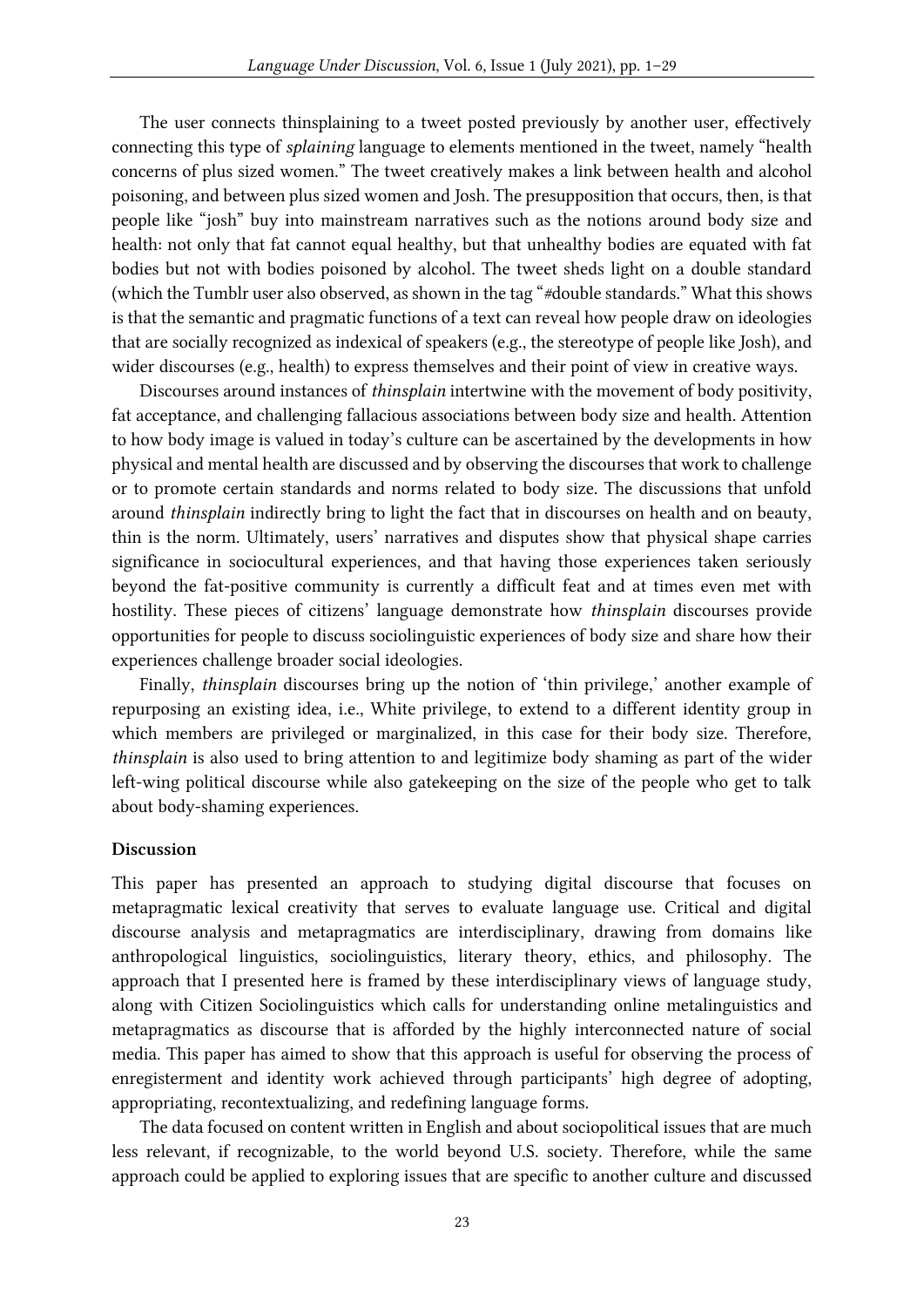The user connects thinsplaining to a tweet posted previously by another user, effectively connecting this type of *splaining* language to elements mentioned in the tweet, namely "health concerns of plus sized women." The tweet creatively makes a link between health and alcohol poisoning, and between plus sized women and Josh*.* The presupposition that occurs, then, is that people like "josh" buy into mainstream narratives such as the notions around body size and health: not only that fat cannot equal healthy, but that unhealthy bodies are equated with fat bodies but not with bodies poisoned by alcohol. The tweet sheds light on a double standard (which the Tumblr user also observed, as shown in the tag "*#*double standards*.*" What this shows is that the semantic and pragmatic functions of a text can reveal how people draw on ideologies that are socially recognized as indexical of speakers (e.g., the stereotype of people like Josh), and wider discourses (e.g., health) to express themselves and their point of view in creative ways.

Discourses around instances of *thinsplain* intertwine with the movement of body positivity, fat acceptance, and challenging fallacious associations between body size and health. Attention to how body image is valued in today's culture can be ascertained by the developments in how physical and mental health are discussed and by observing the discourses that work to challenge or to promote certain standards and norms related to body size. The discussions that unfold around *thinsplain* indirectly bring to light the fact that in discourses on health and on beauty, thin is the norm. Ultimately, users' narratives and disputes show that physical shape carries significance in sociocultural experiences, and that having those experiences taken seriously beyond the fat-positive community is currently a difficult feat and at times even met with hostility. These pieces of citizens' language demonstrate how *thinsplain* discourses provide opportunities for people to discuss sociolinguistic experiences of body size and share how their experiences challenge broader social ideologies.

Finally, *thinsplain* discourses bring up the notion of 'thin privilege,' another example of repurposing an existing idea, i.e., White privilege, to extend to a different identity group in which members are privileged or marginalized, in this case for their body size. Therefore, *thinsplain* is also used to bring attention to and legitimize body shaming as part of the wider left-wing political discourse while also gatekeeping on the size of the people who get to talk about body-shaming experiences.

#### Discussion

This paper has presented an approach to studying digital discourse that focuses on metapragmatic lexical creativity that serves to evaluate language use. Critical and digital discourse analysis and metapragmatics are interdisciplinary, drawing from domains like anthropological linguistics, sociolinguistics, literary theory, ethics, and philosophy. The approach that I presented here is framed by these interdisciplinary views of language study, along with Citizen Sociolinguistics which calls for understanding online metalinguistics and metapragmatics as discourse that is afforded by the highly interconnected nature of social media. This paper has aimed to show that this approach is useful for observing the process of enregisterment and identity work achieved through participants' high degree of adopting, appropriating, recontextualizing, and redefining language forms.

The data focused on content written in English and about sociopolitical issues that are much less relevant, if recognizable, to the world beyond U.S. society. Therefore, while the same approach could be applied to exploring issues that are specific to another culture and discussed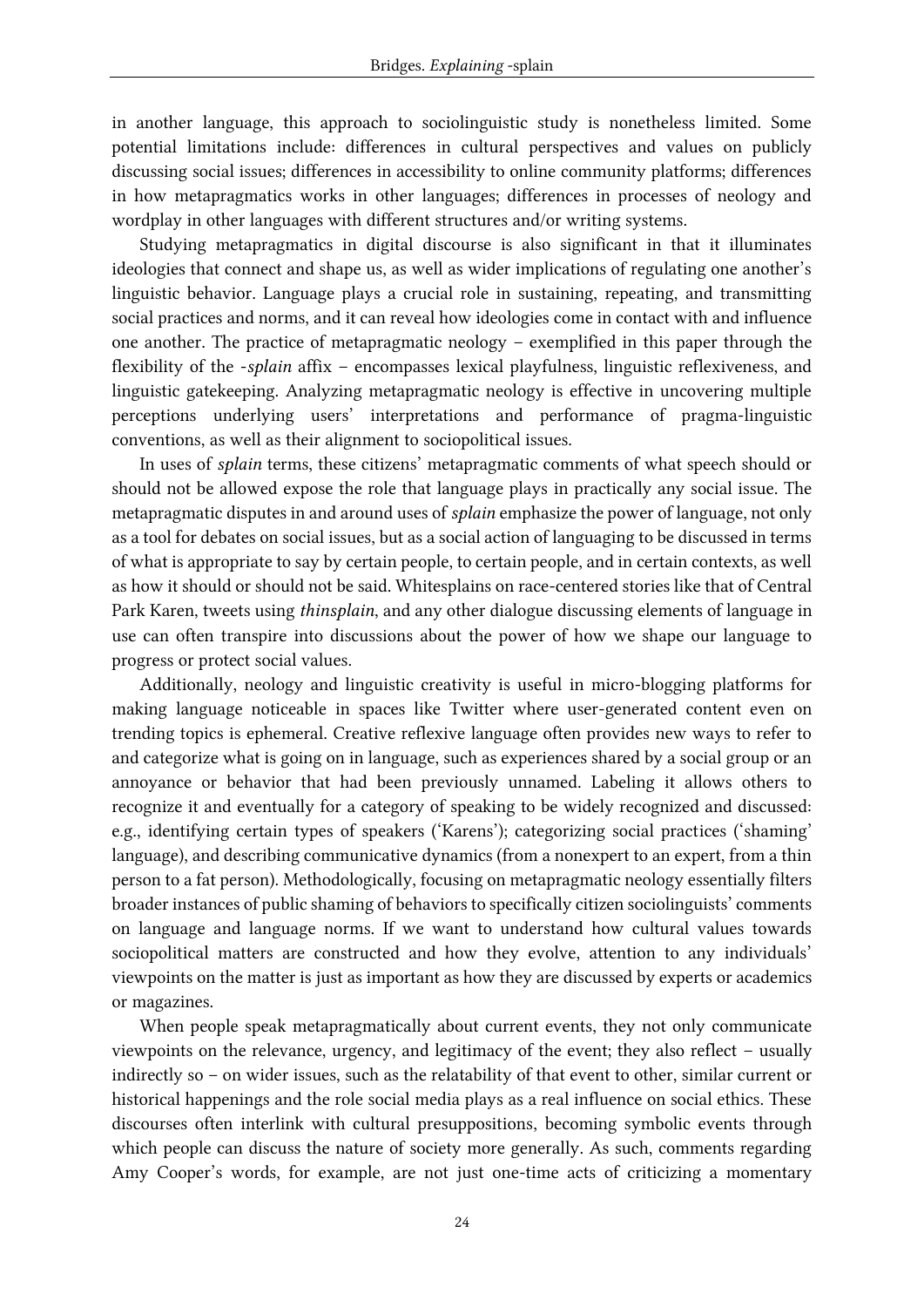in another language, this approach to sociolinguistic study is nonetheless limited. Some potential limitations include: differences in cultural perspectives and values on publicly discussing social issues; differences in accessibility to online community platforms; differences in how metapragmatics works in other languages; differences in processes of neology and wordplay in other languages with different structures and/or writing systems.

Studying metapragmatics in digital discourse is also significant in that it illuminates ideologies that connect and shape us, as well as wider implications of regulating one another's linguistic behavior. Language plays a crucial role in sustaining, repeating, and transmitting social practices and norms, and it can reveal how ideologies come in contact with and influence one another. The practice of metapragmatic neology – exemplified in this paper through the flexibility of the -*splain* affix – encompasses lexical playfulness, linguistic reflexiveness, and linguistic gatekeeping. Analyzing metapragmatic neology is effective in uncovering multiple perceptions underlying users' interpretations and performance of pragma-linguistic conventions, as well as their alignment to sociopolitical issues.

In uses of *splain* terms, these citizens' metapragmatic comments of what speech should or should not be allowed expose the role that language plays in practically any social issue. The metapragmatic disputes in and around uses of *splain* emphasize the power of language, not only as a tool for debates on social issues, but as a social action of languaging to be discussed in terms of what is appropriate to say by certain people, to certain people, and in certain contexts, as well as how it should or should not be said. Whitesplains on race-centered stories like that of Central Park Karen, tweets using *thinsplain*, and any other dialogue discussing elements of language in use can often transpire into discussions about the power of how we shape our language to progress or protect social values.

Additionally, neology and linguistic creativity is useful in micro-blogging platforms for making language noticeable in spaces like Twitter where user-generated content even on trending topics is ephemeral. Creative reflexive language often provides new ways to refer to and categorize what is going on in language, such as experiences shared by a social group or an annoyance or behavior that had been previously unnamed. Labeling it allows others to recognize it and eventually for a category of speaking to be widely recognized and discussed: e.g., identifying certain types of speakers ('Karens'); categorizing social practices ('shaming' language), and describing communicative dynamics (from a nonexpert to an expert, from a thin person to a fat person). Methodologically, focusing on metapragmatic neology essentially filters broader instances of public shaming of behaviors to specifically citizen sociolinguists' comments on language and language norms. If we want to understand how cultural values towards sociopolitical matters are constructed and how they evolve, attention to any individuals' viewpoints on the matter is just as important as how they are discussed by experts or academics or magazines.

When people speak metapragmatically about current events, they not only communicate viewpoints on the relevance, urgency, and legitimacy of the event; they also reflect – usually indirectly so – on wider issues, such as the relatability of that event to other, similar current or historical happenings and the role social media plays as a real influence on social ethics. These discourses often interlink with cultural presuppositions, becoming symbolic events through which people can discuss the nature of society more generally. As such, comments regarding Amy Cooper's words, for example, are not just one-time acts of criticizing a momentary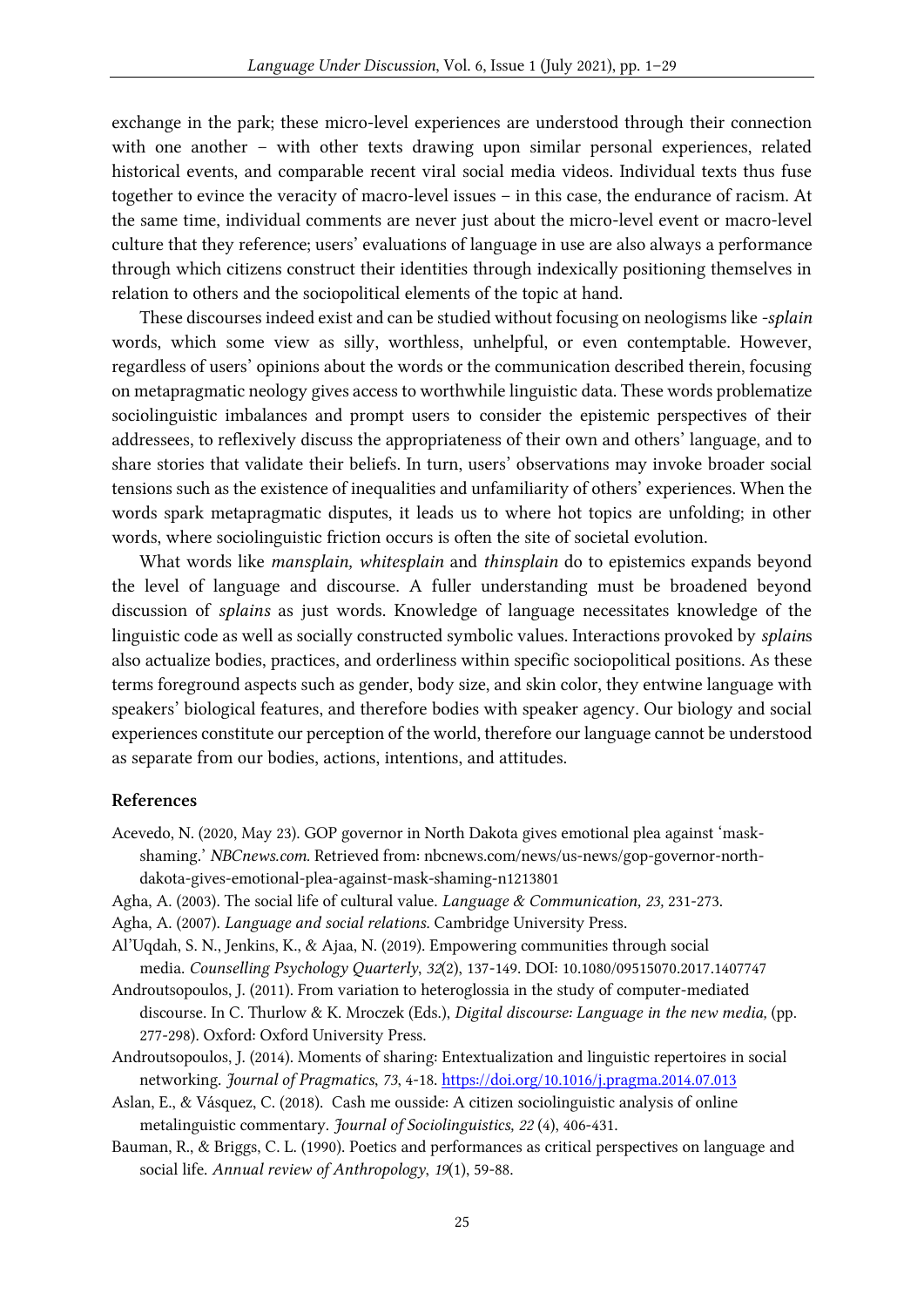exchange in the park; these micro-level experiences are understood through their connection with one another – with other texts drawing upon similar personal experiences, related historical events, and comparable recent viral social media videos. Individual texts thus fuse together to evince the veracity of macro-level issues – in this case, the endurance of racism. At the same time, individual comments are never just about the micro-level event or macro-level culture that they reference; users' evaluations of language in use are also always a performance through which citizens construct their identities through indexically positioning themselves in relation to others and the sociopolitical elements of the topic at hand.

These discourses indeed exist and can be studied without focusing on neologisms like *-splain* words, which some view as silly, worthless, unhelpful, or even contemptable. However, regardless of users' opinions about the words or the communication described therein, focusing on metapragmatic neology gives access to worthwhile linguistic data. These words problematize sociolinguistic imbalances and prompt users to consider the epistemic perspectives of their addressees, to reflexively discuss the appropriateness of their own and others' language, and to share stories that validate their beliefs. In turn, users' observations may invoke broader social tensions such as the existence of inequalities and unfamiliarity of others' experiences. When the words spark metapragmatic disputes, it leads us to where hot topics are unfolding; in other words, where sociolinguistic friction occurs is often the site of societal evolution.

What words like *mansplain, whitesplain* and *thinsplain* do to epistemics expands beyond the level of language and discourse. A fuller understanding must be broadened beyond discussion of *splains* as just words. Knowledge of language necessitates knowledge of the linguistic code as well as socially constructed symbolic values. Interactions provoked by *splain*s also actualize bodies, practices, and orderliness within specific sociopolitical positions. As these terms foreground aspects such as gender, body size, and skin color, they entwine language with speakers' biological features, and therefore bodies with speaker agency. Our biology and social experiences constitute our perception of the world, therefore our language cannot be understood as separate from our bodies, actions, intentions, and attitudes.

#### References

- Acevedo, N. (2020, May 23). GOP governor in North Dakota gives emotional plea against 'maskshaming.' *NBCnews.com.* Retrieved from: nbcnews.com/news/us-news/gop-governor-northdakota-gives-emotional-plea-against-mask-shaming-n1213801
- Agha, A. (2003). The social life of cultural value. *Language & Communication, 23,* 231-273.
- Agha, A. (2007). *Language and social relations.* Cambridge University Press.
- Al'Uqdah, S. N., Jenkins, K., & Ajaa, N. (2019). Empowering communities through social media. *Counselling Psychology Quarterly*, *32*(2), 137-149. DOI: 10.1080/09515070.2017.1407747
- Androutsopoulos, J. (2011). From variation to heteroglossia in the study of computer-mediated discourse. In C. Thurlow & K. Mroczek (Eds.), *Digital discourse: Language in the new media,* (pp. 277-298). Oxford: Oxford University Press.
- Androutsopoulos, J. (2014). Moments of sharing: Entextualization and linguistic repertoires in social networking. *Journal of Pragmatics*, *73*, 4-18[. https://doi.org/10.1016/j.pragma.2014.07.013](https://doi.org/10.1016/j.pragma.2014.07.013)
- Aslan, E., & Vásquez, C. (2018). Cash me ousside: A citizen sociolinguistic analysis of online metalinguistic commentary. *Journal of Sociolinguistics, 22* (4), 406-431.
- Bauman, R., & Briggs, C. L. (1990). Poetics and performances as critical perspectives on language and social life. *Annual review of Anthropology*, *19*(1), 59-88.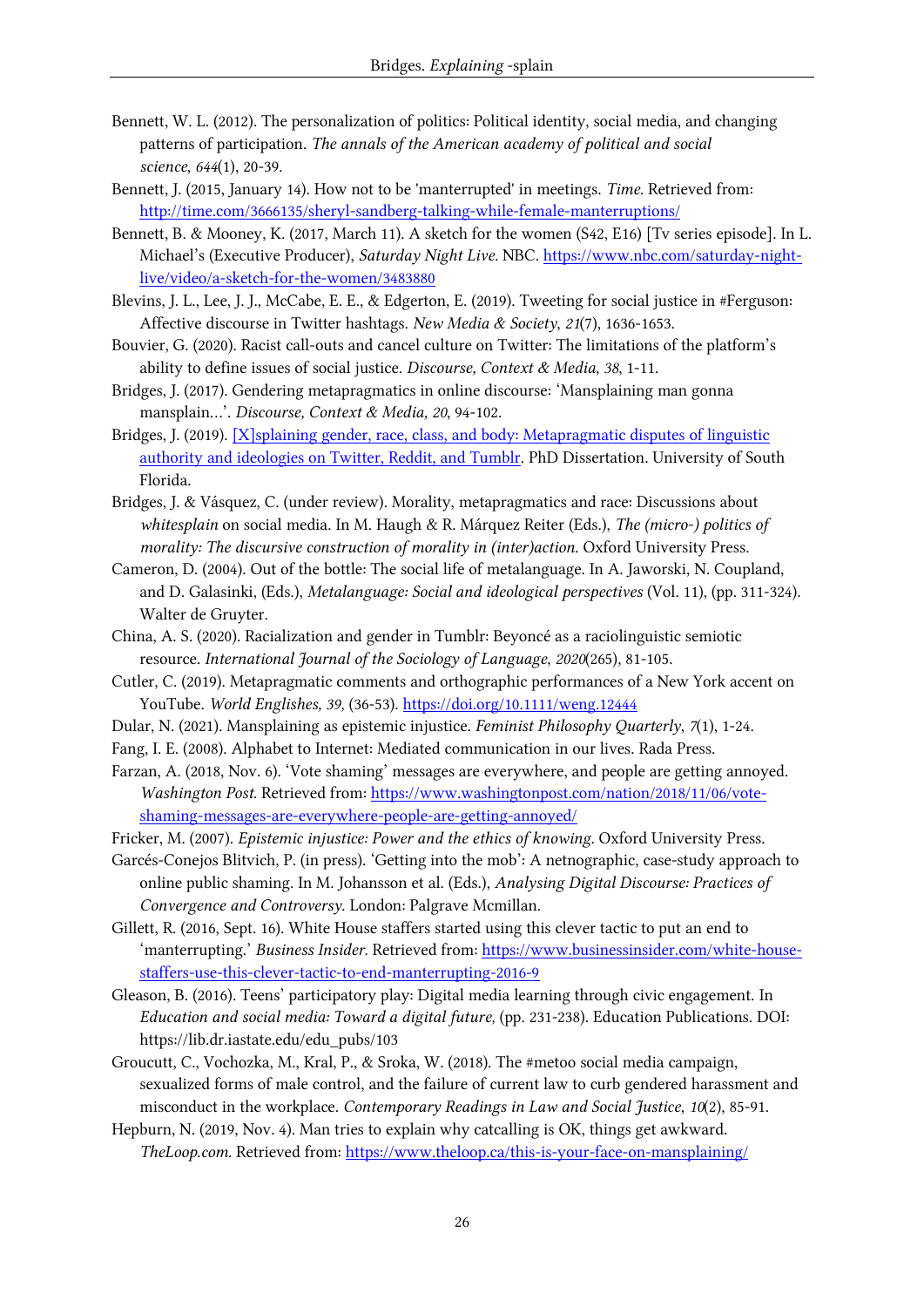- Bennett, W. L. (2012). The personalization of politics: Political identity, social media, and changing patterns of participation. *The annals of the American academy of political and social science*, *644*(1), 20-39.
- Bennett, J. (2015, January 14). How not to be 'manterrupted' in meetings. *Time.* Retrieved from: [http://time.com/3666135/sheryl-sandberg-talking-while-female-manterruptions/](about:blank)
- Bennett, B. & Mooney, K. (2017, March 11). A sketch for the women (S42, E16) [Tv series episode]. In L. Michael's (Executive Producer), *Saturday Night Live.* NBC. [https://www.nbc.com/saturday-night](about:blank)[live/video/a-sketch-for-the-women/3483880](about:blank)
- Blevins, J. L., Lee, J. J., McCabe, E. E., & Edgerton, E. (2019). Tweeting for social justice in #Ferguson: Affective discourse in Twitter hashtags. *New Media & Society*, *21*(7), 1636-1653.
- Bouvier, G. (2020). Racist call-outs and cancel culture on Twitter: The limitations of the platform's ability to define issues of social justice. *Discourse, Context & Media*, *38*, 1-11.
- Bridges, J. (2017). Gendering metapragmatics in online discourse: 'Mansplaining man gonna mansplain…'. *Discourse, Context & Media, 20*, 94-102.
- Bridges, J. (2019). [X]splaining gender, race, class, and body: Metapragmatic disputes of linguistic [authority and ideologies on Twitter, Reddit, and Tumblr.](about:blank) PhD Dissertation. University of South Florida.
- Bridges, J. & Vásquez, C. (under review). Morality, metapragmatics and race: Discussions about *whitesplain* on social media. In M. Haugh & R. Márquez Reiter (Eds.), *The (micro-) politics of morality: The discursive construction of morality in (inter)action.* Oxford University Press.
- Cameron, D. (2004). Out of the bottle: The social life of metalanguage. In A. Jaworski, N. Coupland, and D. Galasinki, (Eds.), *Metalanguage: Social and ideological perspectives* (Vol. 11), (pp. 311-324). Walter de Gruyter.
- China, A. S. (2020). Racialization and gender in Tumblr: Beyoncé as a raciolinguistic semiotic resource. *International Journal of the Sociology of Language*, *2020*(265), 81-105.
- Cutler, C. (2019). Metapragmatic comments and orthographic performances of a New York accent on YouTube. *World Englishes, 39,* (36-53).<https://doi.org/10.1111/weng.12444>
- Dular, N. (2021). Mansplaining as epistemic injustice. *Feminist Philosophy Quarterly*, *7*(1), 1-24.
- Fang, I. E. (2008). Alphabet to Internet: Mediated communication in our lives. Rada Press.
- Farzan, A. (2018, Nov. 6). 'Vote shaming' messages are everywhere, and people are getting annoyed. *Washington Post.* Retrieved from: [https://www.washingtonpost.com/nation/2018/11/06/vote](about:blank)[shaming-messages-are-everywhere-people-are-getting-annoyed/](about:blank)
- Fricker, M. (2007). *Epistemic injustice: Power and the ethics of knowing*. Oxford University Press.
- Garcés-Conejos Blitvich, P. (in press). 'Getting into the mob': A netnographic, case-study approach to online public shaming. In M. Johansson et al. (Eds.), *Analysing Digital Discourse: Practices of Convergence and Controversy.* London: Palgrave Mcmillan.
- Gillett, R. (2016, Sept. 16). White House staffers started using this clever tactic to put an end to 'manterrupting.' *Business Insider.* Retrieved from: [https://www.businessinsider.com/white-house](https://www.businessinsider.com/white-house-staffers-use-this-clever-tactic-to-end-manterrupting-2016-9)[staffers-use-this-clever-tactic-to-end-manterrupting-2016-9](https://www.businessinsider.com/white-house-staffers-use-this-clever-tactic-to-end-manterrupting-2016-9)
- Gleason, B. (2016). Teens' participatory play: Digital media learning through civic engagement. In *Education and social media: Toward a digital future,* (pp. 231-238). Education Publications. DOI: https://lib.dr.iastate.edu/edu\_pubs/103
- Groucutt, C., Vochozka, M., Kral, P., & Sroka, W. (2018). The #metoo social media campaign, sexualized forms of male control, and the failure of current law to curb gendered harassment and misconduct in the workplace. *Contemporary Readings in Law and Social Justice*, *10*(2), 85-91.
- Hepburn, N. (2019, Nov. 4). Man tries to explain why catcalling is OK, things get awkward. *TheLoop.com.* Retrieved from: [https://www.theloop.ca/this-is-your-face-on-mansplaining/](about:blank)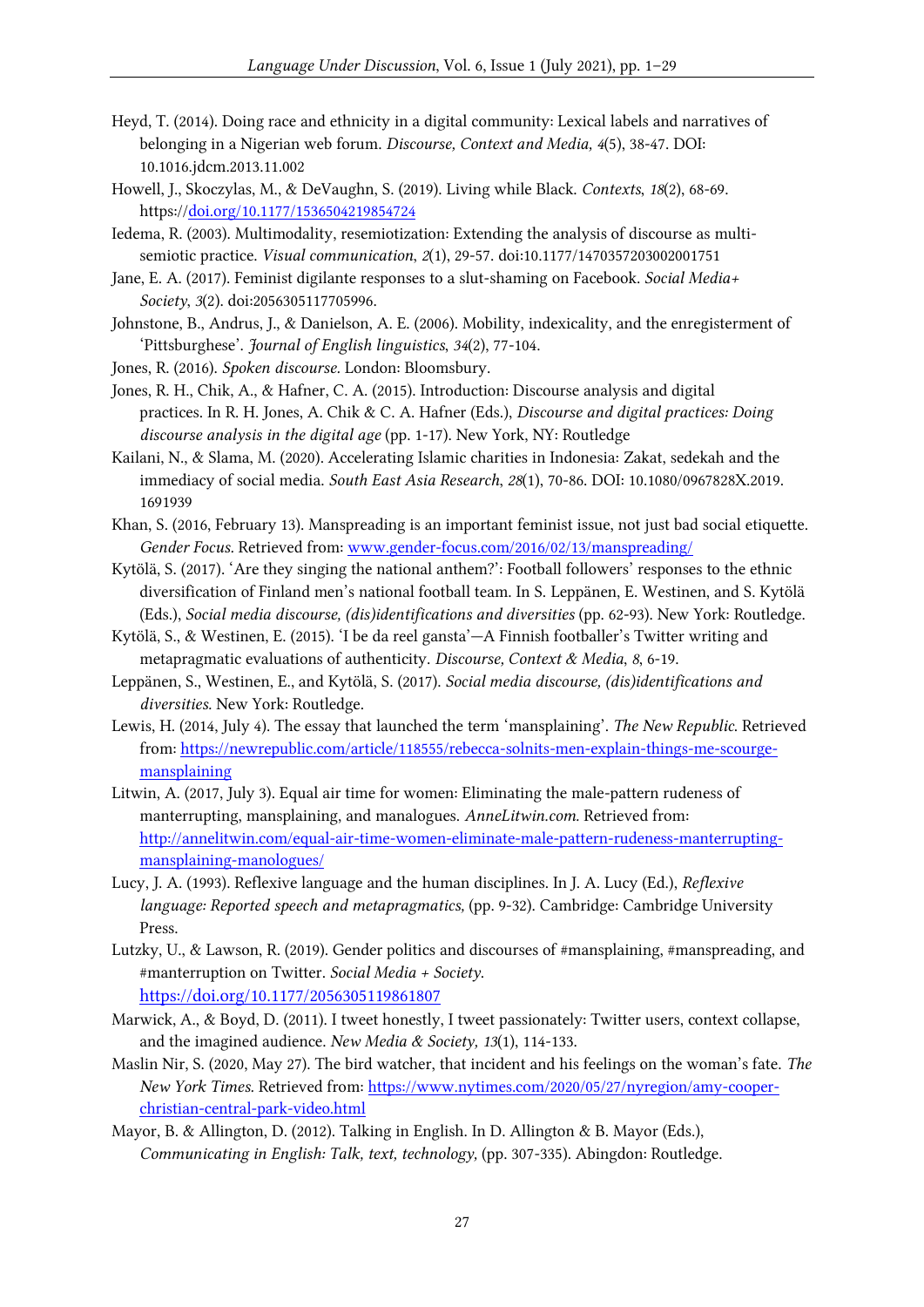- Heyd, T. (2014). Doing race and ethnicity in a digital community: Lexical labels and narratives of belonging in a Nigerian web forum. *Discourse, Context and Media, 4*(5), 38-47. DOI: 10.1016.jdcm.2013.11.002
- Howell, J., Skoczylas, M., & DeVaughn, S. (2019). Living while Black. *Contexts*, *18*(2), 68-69. https:/[/doi.org/10.1177/1536504219854724](https://doi.org/10.1177%2F1536504219854724)
- Iedema, R. (2003). Multimodality, resemiotization: Extending the analysis of discourse as multisemiotic practice. *Visual communication*, *2*(1), 29-57. doi:10.1177/1470357203002001751
- Jane, E. A. (2017). Feminist digilante responses to a slut-shaming on Facebook. *Social Media+ Society*, *3*(2). doi:2056305117705996.
- Johnstone, B., Andrus, J., & Danielson, A. E. (2006). Mobility, indexicality, and the enregisterment of 'Pittsburghese'. *Journal of English linguistics*, *34*(2), 77-104.
- Jones, R. (2016). *Spoken discourse.* London: Bloomsbury.
- Jones, R. H., Chik, A., & Hafner, C. A. (2015). Introduction: Discourse analysis and digital practices. In R. H. Jones, A. Chik & C. A. Hafner (Eds.), *Discourse and digital practices: Doing discourse analysis in the digital age* (pp. 1-17). New York, NY: Routledge
- Kailani, N., & Slama, M. (2020). Accelerating Islamic charities in Indonesia: Zakat, sedekah and the immediacy of social media. *South East Asia Research*, *28*(1), 70-86. DOI: 10.1080/0967828X.2019. 1691939
- Khan, S. (2016, February 13). Manspreading is an important feminist issue, not just bad social etiquette. *Gender Focus.* Retrieved from: [www.gender-focus.com/2016/02/13/manspreading/](about:blank)
- Kytölä, S. (2017). 'Are they singing the national anthem?': Football followers' responses to the ethnic diversification of Finland men's national football team. In S. Leppänen, E. Westinen, and S. Kytölä (Eds.), *Social media discourse, (dis)identifications and diversities* (pp. 62-93). New York: Routledge.
- Kytölä, S., & Westinen, E. (2015). 'I be da reel gansta'—A Finnish footballer's Twitter writing and metapragmatic evaluations of authenticity. *Discourse, Context & Media*, *8*, 6-19.
- Leppänen, S., Westinen, E., and Kytölä, S. (2017). *Social media discourse, (dis)identifications and diversities.* New York: Routledge.
- Lewis, H. (2014, July 4). The essay that launched the term 'mansplaining'. *The New Republic*. Retrieved from: [https://newrepublic.com/article/118555/rebecca-solnits-men-explain-things-me-scourge](https://newrepublic.com/article/118555/rebecca-solnits-men-explain-things-me-scourge-mansplaining)[mansplaining](https://newrepublic.com/article/118555/rebecca-solnits-men-explain-things-me-scourge-mansplaining)
- Litwin, A. (2017, July 3). Equal air time for women: Eliminating the male-pattern rudeness of manterrupting, mansplaining, and manalogues. *AnneLitwin.com.* Retrieved from: [http://annelitwin.com/equal-air-time-women-eliminate-male-pattern-rudeness-manterrupting](about:blank)[mansplaining-manologues/](about:blank)
- Lucy, J. A. (1993). Reflexive language and the human disciplines. In J. A. Lucy (Ed.), *Reflexive language: Reported speech and metapragmatics,* (pp. 9-32). Cambridge: Cambridge University Press.
- Lutzky, U., & Lawson, R. (2019). Gender politics and discourses of #mansplaining, #manspreading, and #manterruption on Twitter. *Social Media + Society*. [https://doi.org/10.1177/2056305119861807](about:blank)
- Marwick, A., & Boyd, D. (2011). I tweet honestly, I tweet passionately: Twitter users, context collapse, and the imagined audience. *New Media & Society, 13*(1), 114-133.
- Maslin Nir, S. (2020, May 27). The bird watcher, that incident and his feelings on the woman's fate. *The New York Times.* Retrieved from: [https://www.nytimes.com/2020/05/27/nyregion/amy-cooper](about:blank)[christian-central-park-video.html](about:blank)
- Mayor, B. & Allington, D. (2012). Talking in English. In D. Allington & B. Mayor (Eds.), *Communicating in English: Talk, text, technology,* (pp. 307-335). Abingdon: Routledge.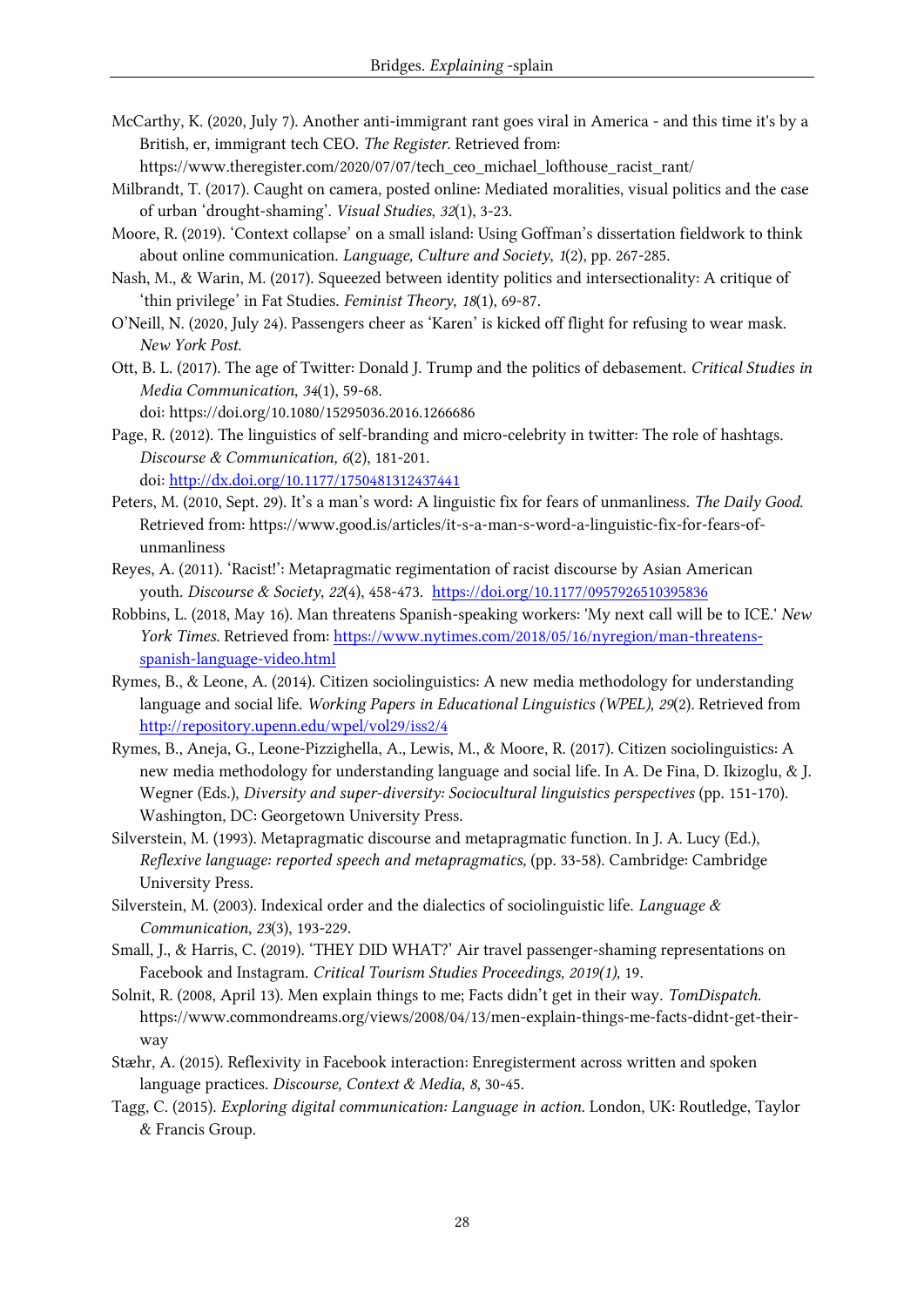- McCarthy, K. (2020, July 7). Another anti-immigrant rant goes viral in America and this time it's by a British, er, immigrant tech CEO. *The Register*. Retrieved from:
	- https://www.theregister.com/2020/07/07/tech\_ceo\_michael\_lofthouse\_racist\_rant/
- Milbrandt, T. (2017). Caught on camera, posted online: Mediated moralities, visual politics and the case of urban 'drought-shaming'. *Visual Studies*, *32*(1), 3-23.
- Moore, R. (2019). 'Context collapse' on a small island: Using Goffman's dissertation fieldwork to think about online communication. *Language, Culture and Society*, *1*(2), pp. 267-285.
- Nash, M., & Warin, M. (2017). Squeezed between identity politics and intersectionality: A critique of 'thin privilege' in Fat Studies. *Feminist Theory, 18*(1), 69-87.
- O'Neill, N. (2020, July 24). Passengers cheer as 'Karen' is kicked off flight for refusing to wear mask. *New York Post.*
- Ott, B. L. (2017). The age of Twitter: Donald J. Trump and the politics of debasement. *Critical Studies in Media Communication*, *34*(1), 59-68.

doi: https://doi.org/10.1080/15295036.2016.1266686

- Page, R. (2012). The linguistics of self-branding and micro-celebrity in twitter: The role of hashtags. *Discourse & Communication, 6*(2), 181-201. doi: <http://dx.doi.org/10.1177/1750481312437441>
- Peters, M. (2010, Sept. 29). It's a man's word: A linguistic fix for fears of unmanliness. *The Daily Good.*  Retrieved from: https://www.good.is/articles/it-s-a-man-s-word-a-linguistic-fix-for-fears-ofunmanliness
- Reyes, A. (2011). 'Racist!': Metapragmatic regimentation of racist discourse by Asian American youth. *Discourse & Society*, *22*(4), 458-473. <https://doi.org/10.1177/0957926510395836>
- Robbins, L. (2018, May 16). Man threatens Spanish-speaking workers: 'My next call will be to ICE.' *New York Times*. Retrieved from: [https://www.nytimes.com/2018/05/16/nyregion/man-threatens](about:blank)[spanish-language-video.html](about:blank)
- Rymes, B., & Leone, A. (2014). Citizen sociolinguistics: A new media methodology for understanding language and social life. *Working Papers in Educational Linguistics (WPEL)*, *29*(2). Retrieved from [http://repository.upenn.edu/wpel/vol29/iss2/4](about:blank)
- Rymes, B., Aneja, G., Leone-Pizzighella, A., Lewis, M., & Moore, R. (2017). Citizen sociolinguistics: A new media methodology for understanding language and social life. In A. De Fina, D. Ikizoglu, & J. Wegner (Eds.), *Diversity and super-diversity: Sociocultural linguistics perspectives* (pp. 151-170). Washington, DC: Georgetown University Press.
- Silverstein, M. (1993). Metapragmatic discourse and metapragmatic function. In J. A. Lucy (Ed.), *Reflexive language: reported speech and metapragmatics,* (pp. 33-58). Cambridge: Cambridge University Press.
- Silverstein, M. (2003). Indexical order and the dialectics of sociolinguistic life. *Language & Communication*, *23*(3), 193-229.
- Small, J., & Harris, C. (2019). 'THEY DID WHAT?' Air travel passenger-shaming representations on Facebook and Instagram. *Critical Tourism Studies Proceedings, 2019(1),* 19.
- Solnit, R. (2008, April 13). Men explain things to me; Facts didn't get in their way. *TomDispatch.*  https://www.commondreams.org/views/2008/04/13/men-explain-things-me-facts-didnt-get-theirway
- Stæhr, A. (2015). Reflexivity in Facebook interaction: Enregisterment across written and spoken language practices. *Discourse, Context & Media*, *8*, 30-45.
- Tagg, C. (2015). *Exploring digital communication: Language in action*. London, UK: Routledge, Taylor & Francis Group.